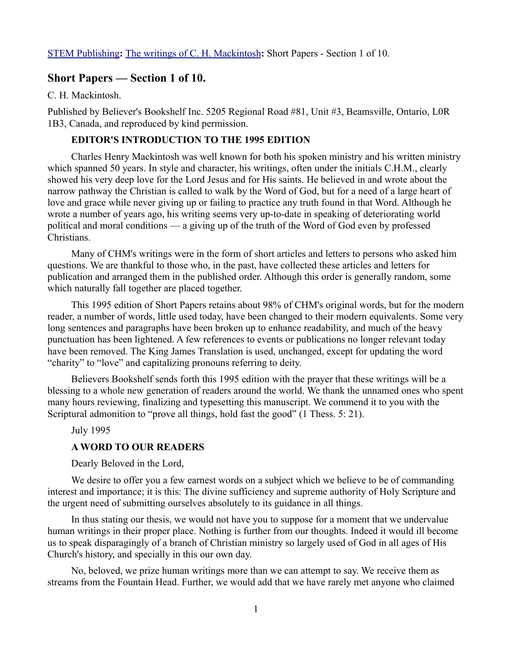[STEM Publishing](http://www.stempublishing.com/)**:** [The writings of C. H. Mackintosh](http://www.stempublishing.com/authors/mackintosh/index.html)**:** Short Papers - Section 1 of 10.

## **Short Papers — Section 1 of 10.**

C. H. Mackintosh.

Published by Believer's Bookshelf Inc. 5205 Regional Road #81, Unit #3, Beamsville, Ontario, L0R 1B3, Canada, and reproduced by kind permission.

# **EDITOR'S INTRODUCTION TO THE 1995 EDITION**

Charles Henry Mackintosh was well known for both his spoken ministry and his written ministry which spanned 50 years. In style and character, his writings, often under the initials C.H.M., clearly showed his very deep love for the Lord Jesus and for His saints. He believed in and wrote about the narrow pathway the Christian is called to walk by the Word of God, but for a need of a large heart of love and grace while never giving up or failing to practice any truth found in that Word. Although he wrote a number of years ago, his writing seems very up-to-date in speaking of deteriorating world political and moral conditions — a giving up of the truth of the Word of God even by professed Christians.

Many of CHM's writings were in the form of short articles and letters to persons who asked him questions. We are thankful to those who, in the past, have collected these articles and letters for publication and arranged them in the published order. Although this order is generally random, some which naturally fall together are placed together.

This 1995 edition of Short Papers retains about 98% of CHM's original words, but for the modern reader, a number of words, little used today, have been changed to their modern equivalents. Some very long sentences and paragraphs have been broken up to enhance readability, and much of the heavy punctuation has been lightened. A few references to events or publications no longer relevant today have been removed. The King James Translation is used, unchanged, except for updating the word "charity" to "love" and capitalizing pronouns referring to deity.

Believers Bookshelf sends forth this 1995 edition with the prayer that these writings will be a blessing to a whole new generation of readers around the world. We thank the unnamed ones who spent many hours reviewing, finalizing and typesetting this manuscript. We commend it to you with the Scriptural admonition to "prove all things, hold fast the good" (1 Thess. 5: 21).

July 1995

## **A WORD TO OUR READERS**

Dearly Beloved in the Lord,

We desire to offer you a few earnest words on a subject which we believe to be of commanding interest and importance; it is this: The divine sufficiency and supreme authority of Holy Scripture and the urgent need of submitting ourselves absolutely to its guidance in all things.

In thus stating our thesis, we would not have you to suppose for a moment that we undervalue human writings in their proper place. Nothing is further from our thoughts. Indeed it would ill become us to speak disparagingly of a branch of Christian ministry so largely used of God in all ages of His Church's history, and specially in this our own day.

No, beloved, we prize human writings more than we can attempt to say. We receive them as streams from the Fountain Head. Further, we would add that we have rarely met anyone who claimed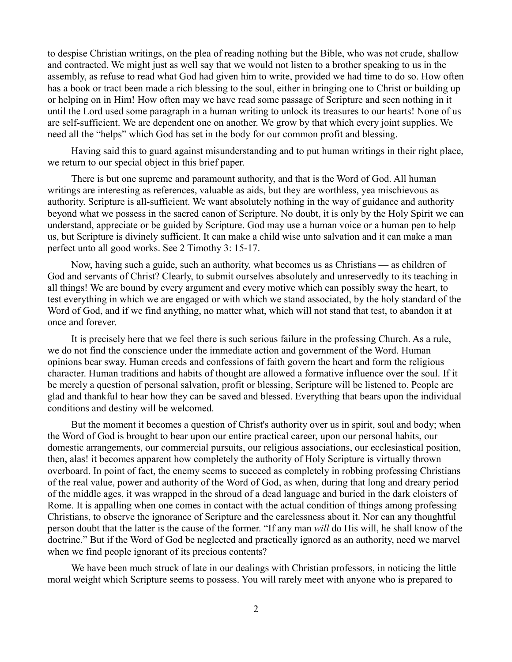to despise Christian writings, on the plea of reading nothing but the Bible, who was not crude, shallow and contracted. We might just as well say that we would not listen to a brother speaking to us in the assembly, as refuse to read what God had given him to write, provided we had time to do so. How often has a book or tract been made a rich blessing to the soul, either in bringing one to Christ or building up or helping on in Him! How often may we have read some passage of Scripture and seen nothing in it until the Lord used some paragraph in a human writing to unlock its treasures to our hearts! None of us are self-sufficient. We are dependent one on another. We grow by that which every joint supplies. We need all the "helps" which God has set in the body for our common profit and blessing.

Having said this to guard against misunderstanding and to put human writings in their right place, we return to our special object in this brief paper.

There is but one supreme and paramount authority, and that is the Word of God. All human writings are interesting as references, valuable as aids, but they are worthless, yea mischievous as authority. Scripture is all-sufficient. We want absolutely nothing in the way of guidance and authority beyond what we possess in the sacred canon of Scripture. No doubt, it is only by the Holy Spirit we can understand, appreciate or be guided by Scripture. God may use a human voice or a human pen to help us, but Scripture is divinely sufficient. It can make a child wise unto salvation and it can make a man perfect unto all good works. See 2 Timothy 3: 15-17.

Now, having such a guide, such an authority, what becomes us as Christians — as children of God and servants of Christ? Clearly, to submit ourselves absolutely and unreservedly to its teaching in all things! We are bound by every argument and every motive which can possibly sway the heart, to test everything in which we are engaged or with which we stand associated, by the holy standard of the Word of God, and if we find anything, no matter what, which will not stand that test, to abandon it at once and forever.

It is precisely here that we feel there is such serious failure in the professing Church. As a rule, we do not find the conscience under the immediate action and government of the Word. Human opinions bear sway. Human creeds and confessions of faith govern the heart and form the religious character. Human traditions and habits of thought are allowed a formative influence over the soul. If it be merely a question of personal salvation, profit or blessing, Scripture will be listened to. People are glad and thankful to hear how they can be saved and blessed. Everything that bears upon the individual conditions and destiny will be welcomed.

But the moment it becomes a question of Christ's authority over us in spirit, soul and body; when the Word of God is brought to bear upon our entire practical career, upon our personal habits, our domestic arrangements, our commercial pursuits, our religious associations, our ecclesiastical position, then, alas! it becomes apparent how completely the authority of Holy Scripture is virtually thrown overboard. In point of fact, the enemy seems to succeed as completely in robbing professing Christians of the real value, power and authority of the Word of God, as when, during that long and dreary period of the middle ages, it was wrapped in the shroud of a dead language and buried in the dark cloisters of Rome. It is appalling when one comes in contact with the actual condition of things among professing Christians, to observe the ignorance of Scripture and the carelessness about it. Nor can any thoughtful person doubt that the latter is the cause of the former. "If any man *will* do His will, he shall know of the doctrine." But if the Word of God be neglected and practically ignored as an authority, need we marvel when we find people ignorant of its precious contents?

We have been much struck of late in our dealings with Christian professors, in noticing the little moral weight which Scripture seems to possess. You will rarely meet with anyone who is prepared to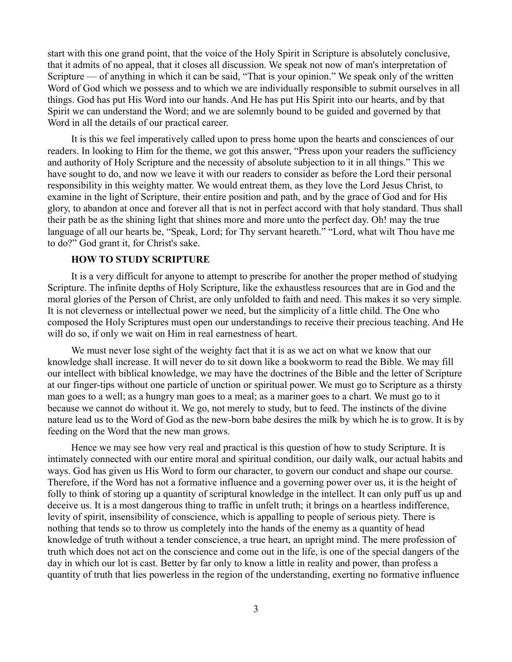start with this one grand point, that the voice of the Holy Spirit in Scripture is absolutely conclusive, that it admits of no appeal, that it closes all discussion. We speak not now of man's interpretation of Scripture — of anything in which it can be said, "That is your opinion." We speak only of the written Word of God which we possess and to which we are individually responsible to submit ourselves in all things. God has put His Word into our hands. And He has put His Spirit into our hearts, and by that Spirit we can understand the Word; and we are solemnly bound to be guided and governed by that Word in all the details of our practical career.

It is this we feel imperatively called upon to press home upon the hearts and consciences of our readers. In looking to Him for the theme, we got this answer, "Press upon your readers the sufficiency and authority of Holy Scripture and the necessity of absolute subjection to it in all things." This we have sought to do, and now we leave it with our readers to consider as before the Lord their personal responsibility in this weighty matter. We would entreat them, as they love the Lord Jesus Christ, to examine in the light of Scripture, their entire position and path, and by the grace of God and for His glory, to abandon at once and forever all that is not in perfect accord with that holy standard. Thus shall their path be as the shining light that shines more and more unto the perfect day. Oh! may the true language of all our hearts be, "Speak, Lord; for Thy servant heareth." "Lord, what wilt Thou have me to do?" God grant it, for Christ's sake.

## **HOW TO STUDY SCRIPTURE**

It is a very difficult for anyone to attempt to prescribe for another the proper method of studying Scripture. The infinite depths of Holy Scripture, like the exhaustless resources that are in God and the moral glories of the Person of Christ, are only unfolded to faith and need. This makes it so very simple. It is not cleverness or intellectual power we need, but the simplicity of a little child. The One who composed the Holy Scriptures must open our understandings to receive their precious teaching. And He will do so, if only we wait on Him in real earnestness of heart.

We must never lose sight of the weighty fact that it is as we act on what we know that our knowledge shall increase. It will never do to sit down like a bookworm to read the Bible. We may fill our intellect with biblical knowledge, we may have the doctrines of the Bible and the letter of Scripture at our finger-tips without one particle of unction or spiritual power. We must go to Scripture as a thirsty man goes to a well; as a hungry man goes to a meal; as a mariner goes to a chart. We must go to it because we cannot do without it. We go, not merely to study, but to feed. The instincts of the divine nature lead us to the Word of God as the new-born babe desires the milk by which he is to grow. It is by feeding on the Word that the new man grows.

Hence we may see how very real and practical is this question of how to study Scripture. It is intimately connected with our entire moral and spiritual condition, our daily walk, our actual habits and ways. God has given us His Word to form our character, to govern our conduct and shape our course. Therefore, if the Word has not a formative influence and a governing power over us, it is the height of folly to think of storing up a quantity of scriptural knowledge in the intellect. It can only puff us up and deceive us. It is a most dangerous thing to traffic in unfelt truth; it brings on a heartless indifference, levity of spirit, insensibility of conscience, which is appalling to people of serious piety. There is nothing that tends so to throw us completely into the hands of the enemy as a quantity of head knowledge of truth without a tender conscience, a true heart, an upright mind. The mere profession of truth which does not act on the conscience and come out in the life, is one of the special dangers of the day in which our lot is cast. Better by far only to know a little in reality and power, than profess a quantity of truth that lies powerless in the region of the understanding, exerting no formative influence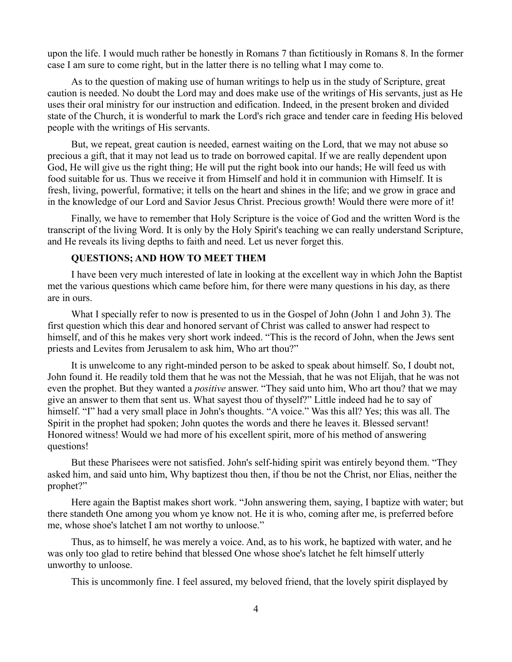upon the life. I would much rather be honestly in Romans 7 than fictitiously in Romans 8. In the former case I am sure to come right, but in the latter there is no telling what I may come to.

As to the question of making use of human writings to help us in the study of Scripture, great caution is needed. No doubt the Lord may and does make use of the writings of His servants, just as He uses their oral ministry for our instruction and edification. Indeed, in the present broken and divided state of the Church, it is wonderful to mark the Lord's rich grace and tender care in feeding His beloved people with the writings of His servants.

But, we repeat, great caution is needed, earnest waiting on the Lord, that we may not abuse so precious a gift, that it may not lead us to trade on borrowed capital. If we are really dependent upon God, He will give us the right thing; He will put the right book into our hands; He will feed us with food suitable for us. Thus we receive it from Himself and hold it in communion with Himself. It is fresh, living, powerful, formative; it tells on the heart and shines in the life; and we grow in grace and in the knowledge of our Lord and Savior Jesus Christ. Precious growth! Would there were more of it!

Finally, we have to remember that Holy Scripture is the voice of God and the written Word is the transcript of the living Word. It is only by the Holy Spirit's teaching we can really understand Scripture, and He reveals its living depths to faith and need. Let us never forget this.

# **QUESTIONS; AND HOW TO MEET THEM**

I have been very much interested of late in looking at the excellent way in which John the Baptist met the various questions which came before him, for there were many questions in his day, as there are in ours.

What I specially refer to now is presented to us in the Gospel of John (John 1 and John 3). The first question which this dear and honored servant of Christ was called to answer had respect to himself, and of this he makes very short work indeed. "This is the record of John, when the Jews sent priests and Levites from Jerusalem to ask him, Who art thou?"

It is unwelcome to any right-minded person to be asked to speak about himself. So, I doubt not, John found it. He readily told them that he was not the Messiah, that he was not Elijah, that he was not even the prophet. But they wanted a *positive* answer. "They said unto him, Who art thou? that we may give an answer to them that sent us. What sayest thou of thyself?" Little indeed had he to say of himself. "I" had a very small place in John's thoughts. "A voice." Was this all? Yes; this was all. The Spirit in the prophet had spoken; John quotes the words and there he leaves it. Blessed servant! Honored witness! Would we had more of his excellent spirit, more of his method of answering questions!

But these Pharisees were not satisfied. John's self-hiding spirit was entirely beyond them. "They asked him, and said unto him, Why baptizest thou then, if thou be not the Christ, nor Elias, neither the prophet?"

Here again the Baptist makes short work. "John answering them, saying, I baptize with water; but there standeth One among you whom ye know not. He it is who, coming after me, is preferred before me, whose shoe's latchet I am not worthy to unloose."

Thus, as to himself, he was merely a voice. And, as to his work, he baptized with water, and he was only too glad to retire behind that blessed One whose shoe's latchet he felt himself utterly unworthy to unloose.

This is uncommonly fine. I feel assured, my beloved friend, that the lovely spirit displayed by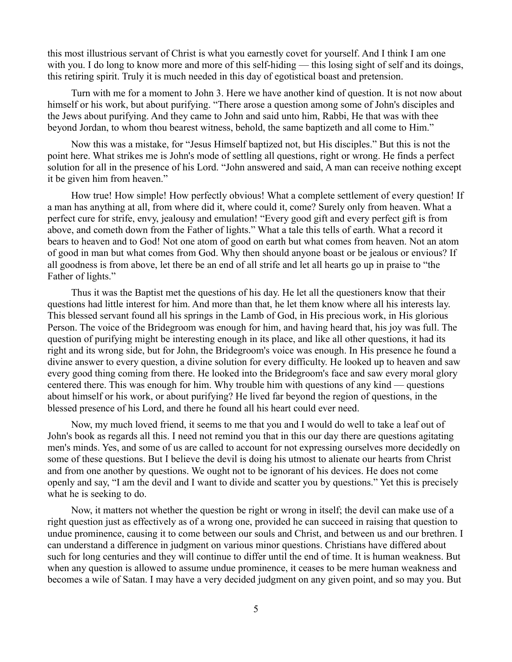this most illustrious servant of Christ is what you earnestly covet for yourself. And I think I am one with you. I do long to know more and more of this self-hiding — this losing sight of self and its doings, this retiring spirit. Truly it is much needed in this day of egotistical boast and pretension.

Turn with me for a moment to John 3. Here we have another kind of question. It is not now about himself or his work, but about purifying. "There arose a question among some of John's disciples and the Jews about purifying. And they came to John and said unto him, Rabbi, He that was with thee beyond Jordan, to whom thou bearest witness, behold, the same baptizeth and all come to Him."

Now this was a mistake, for "Jesus Himself baptized not, but His disciples." But this is not the point here. What strikes me is John's mode of settling all questions, right or wrong. He finds a perfect solution for all in the presence of his Lord. "John answered and said, A man can receive nothing except it be given him from heaven."

How true! How simple! How perfectly obvious! What a complete settlement of every question! If a man has anything at all, from where did it, where could it, come? Surely only from heaven. What a perfect cure for strife, envy, jealousy and emulation! "Every good gift and every perfect gift is from above, and cometh down from the Father of lights." What a tale this tells of earth. What a record it bears to heaven and to God! Not one atom of good on earth but what comes from heaven. Not an atom of good in man but what comes from God. Why then should anyone boast or be jealous or envious? If all goodness is from above, let there be an end of all strife and let all hearts go up in praise to "the Father of lights."

Thus it was the Baptist met the questions of his day. He let all the questioners know that their questions had little interest for him. And more than that, he let them know where all his interests lay. This blessed servant found all his springs in the Lamb of God, in His precious work, in His glorious Person. The voice of the Bridegroom was enough for him, and having heard that, his joy was full. The question of purifying might be interesting enough in its place, and like all other questions, it had its right and its wrong side, but for John, the Bridegroom's voice was enough. In His presence he found a divine answer to every question, a divine solution for every difficulty. He looked up to heaven and saw every good thing coming from there. He looked into the Bridegroom's face and saw every moral glory centered there. This was enough for him. Why trouble him with questions of any kind — questions about himself or his work, or about purifying? He lived far beyond the region of questions, in the blessed presence of his Lord, and there he found all his heart could ever need.

Now, my much loved friend, it seems to me that you and I would do well to take a leaf out of John's book as regards all this. I need not remind you that in this our day there are questions agitating men's minds. Yes, and some of us are called to account for not expressing ourselves more decidedly on some of these questions. But I believe the devil is doing his utmost to alienate our hearts from Christ and from one another by questions. We ought not to be ignorant of his devices. He does not come openly and say, "I am the devil and I want to divide and scatter you by questions." Yet this is precisely what he is seeking to do.

Now, it matters not whether the question be right or wrong in itself; the devil can make use of a right question just as effectively as of a wrong one, provided he can succeed in raising that question to undue prominence, causing it to come between our souls and Christ, and between us and our brethren. I can understand a difference in judgment on various minor questions. Christians have differed about such for long centuries and they will continue to differ until the end of time. It is human weakness. But when any question is allowed to assume undue prominence, it ceases to be mere human weakness and becomes a wile of Satan. I may have a very decided judgment on any given point, and so may you. But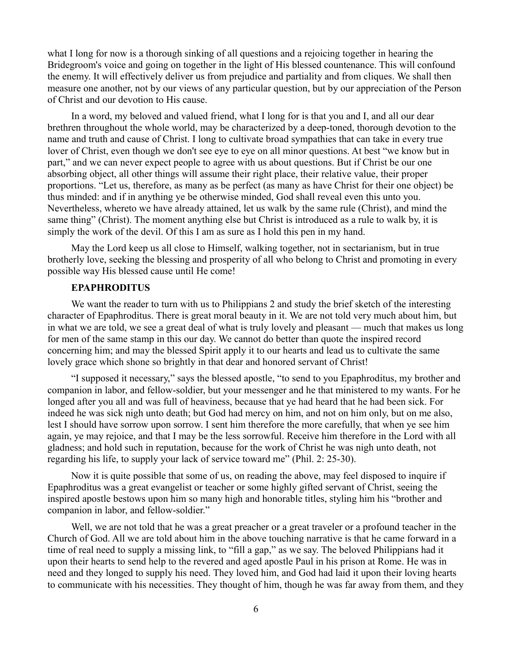what I long for now is a thorough sinking of all questions and a rejoicing together in hearing the Bridegroom's voice and going on together in the light of His blessed countenance. This will confound the enemy. It will effectively deliver us from prejudice and partiality and from cliques. We shall then measure one another, not by our views of any particular question, but by our appreciation of the Person of Christ and our devotion to His cause.

In a word, my beloved and valued friend, what I long for is that you and I, and all our dear brethren throughout the whole world, may be characterized by a deep-toned, thorough devotion to the name and truth and cause of Christ. I long to cultivate broad sympathies that can take in every true lover of Christ, even though we don't see eye to eye on all minor questions. At best "we know but in part," and we can never expect people to agree with us about questions. But if Christ be our one absorbing object, all other things will assume their right place, their relative value, their proper proportions. "Let us, therefore, as many as be perfect (as many as have Christ for their one object) be thus minded: and if in anything ye be otherwise minded, God shall reveal even this unto you. Nevertheless, whereto we have already attained, let us walk by the same rule (Christ), and mind the same thing" (Christ). The moment anything else but Christ is introduced as a rule to walk by, it is simply the work of the devil. Of this I am as sure as I hold this pen in my hand.

May the Lord keep us all close to Himself, walking together, not in sectarianism, but in true brotherly love, seeking the blessing and prosperity of all who belong to Christ and promoting in every possible way His blessed cause until He come!

#### **EPAPHRODITUS**

We want the reader to turn with us to Philippians 2 and study the brief sketch of the interesting character of Epaphroditus. There is great moral beauty in it. We are not told very much about him, but in what we are told, we see a great deal of what is truly lovely and pleasant — much that makes us long for men of the same stamp in this our day. We cannot do better than quote the inspired record concerning him; and may the blessed Spirit apply it to our hearts and lead us to cultivate the same lovely grace which shone so brightly in that dear and honored servant of Christ!

"I supposed it necessary," says the blessed apostle, "to send to you Epaphroditus, my brother and companion in labor, and fellow-soldier, but your messenger and he that ministered to my wants. For he longed after you all and was full of heaviness, because that ye had heard that he had been sick. For indeed he was sick nigh unto death; but God had mercy on him, and not on him only, but on me also, lest I should have sorrow upon sorrow. I sent him therefore the more carefully, that when ye see him again, ye may rejoice, and that I may be the less sorrowful. Receive him therefore in the Lord with all gladness; and hold such in reputation, because for the work of Christ he was nigh unto death, not regarding his life, to supply your lack of service toward me" (Phil. 2: 25-30).

Now it is quite possible that some of us, on reading the above, may feel disposed to inquire if Epaphroditus was a great evangelist or teacher or some highly gifted servant of Christ, seeing the inspired apostle bestows upon him so many high and honorable titles, styling him his "brother and companion in labor, and fellow-soldier."

Well, we are not told that he was a great preacher or a great traveler or a profound teacher in the Church of God. All we are told about him in the above touching narrative is that he came forward in a time of real need to supply a missing link, to "fill a gap," as we say. The beloved Philippians had it upon their hearts to send help to the revered and aged apostle Paul in his prison at Rome. He was in need and they longed to supply his need. They loved him, and God had laid it upon their loving hearts to communicate with his necessities. They thought of him, though he was far away from them, and they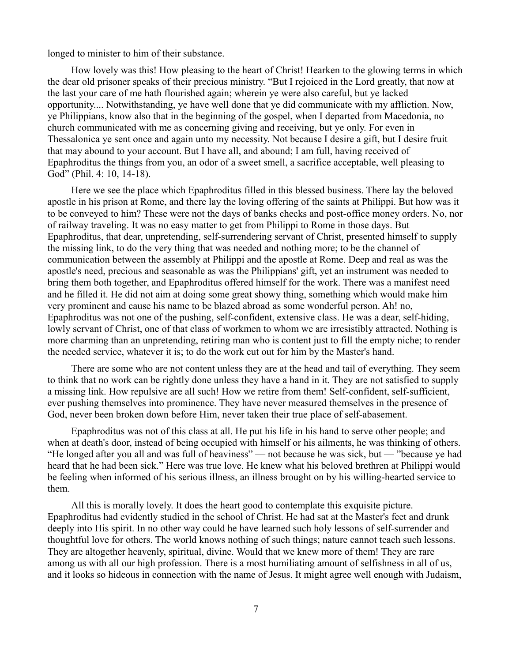longed to minister to him of their substance.

How lovely was this! How pleasing to the heart of Christ! Hearken to the glowing terms in which the dear old prisoner speaks of their precious ministry. "But I rejoiced in the Lord greatly, that now at the last your care of me hath flourished again; wherein ye were also careful, but ye lacked opportunity.... Notwithstanding, ye have well done that ye did communicate with my affliction. Now, ye Philippians, know also that in the beginning of the gospel, when I departed from Macedonia, no church communicated with me as concerning giving and receiving, but ye only. For even in Thessalonica ye sent once and again unto my necessity. Not because I desire a gift, but I desire fruit that may abound to your account. But I have all, and abound; I am full, having received of Epaphroditus the things from you, an odor of a sweet smell, a sacrifice acceptable, well pleasing to God" (Phil. 4: 10, 14-18).

Here we see the place which Epaphroditus filled in this blessed business. There lay the beloved apostle in his prison at Rome, and there lay the loving offering of the saints at Philippi. But how was it to be conveyed to him? These were not the days of banks checks and post-office money orders. No, nor of railway traveling. It was no easy matter to get from Philippi to Rome in those days. But Epaphroditus, that dear, unpretending, self-surrendering servant of Christ, presented himself to supply the missing link, to do the very thing that was needed and nothing more; to be the channel of communication between the assembly at Philippi and the apostle at Rome. Deep and real as was the apostle's need, precious and seasonable as was the Philippians' gift, yet an instrument was needed to bring them both together, and Epaphroditus offered himself for the work. There was a manifest need and he filled it. He did not aim at doing some great showy thing, something which would make him very prominent and cause his name to be blazed abroad as some wonderful person. Ah! no, Epaphroditus was not one of the pushing, self-confident, extensive class. He was a dear, self-hiding, lowly servant of Christ, one of that class of workmen to whom we are irresistibly attracted. Nothing is more charming than an unpretending, retiring man who is content just to fill the empty niche; to render the needed service, whatever it is; to do the work cut out for him by the Master's hand.

There are some who are not content unless they are at the head and tail of everything. They seem to think that no work can be rightly done unless they have a hand in it. They are not satisfied to supply a missing link. How repulsive are all such! How we retire from them! Self-confident, self-sufficient, ever pushing themselves into prominence. They have never measured themselves in the presence of God, never been broken down before Him, never taken their true place of self-abasement.

Epaphroditus was not of this class at all. He put his life in his hand to serve other people; and when at death's door, instead of being occupied with himself or his ailments, he was thinking of others. "He longed after you all and was full of heaviness" — not because he was sick, but — "because ye had heard that he had been sick." Here was true love. He knew what his beloved brethren at Philippi would be feeling when informed of his serious illness, an illness brought on by his willing-hearted service to them.

All this is morally lovely. It does the heart good to contemplate this exquisite picture. Epaphroditus had evidently studied in the school of Christ. He had sat at the Master's feet and drunk deeply into His spirit. In no other way could he have learned such holy lessons of self-surrender and thoughtful love for others. The world knows nothing of such things; nature cannot teach such lessons. They are altogether heavenly, spiritual, divine. Would that we knew more of them! They are rare among us with all our high profession. There is a most humiliating amount of selfishness in all of us, and it looks so hideous in connection with the name of Jesus. It might agree well enough with Judaism,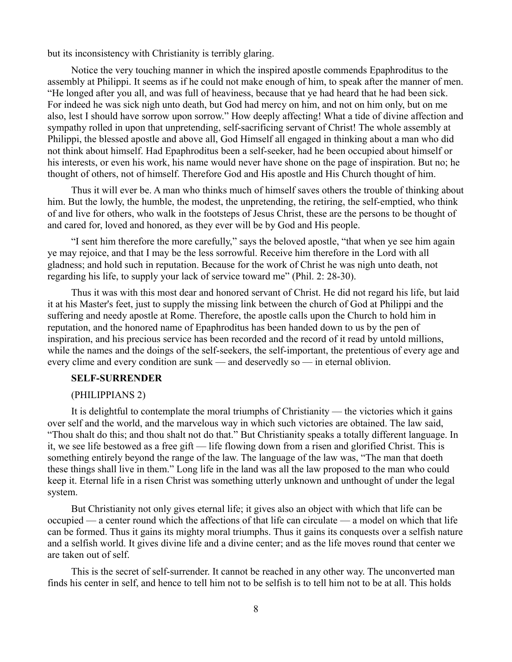but its inconsistency with Christianity is terribly glaring.

Notice the very touching manner in which the inspired apostle commends Epaphroditus to the assembly at Philippi. It seems as if he could not make enough of him, to speak after the manner of men. "He longed after you all, and was full of heaviness, because that ye had heard that he had been sick. For indeed he was sick nigh unto death, but God had mercy on him, and not on him only, but on me also, lest I should have sorrow upon sorrow." How deeply affecting! What a tide of divine affection and sympathy rolled in upon that unpretending, self-sacrificing servant of Christ! The whole assembly at Philippi, the blessed apostle and above all, God Himself all engaged in thinking about a man who did not think about himself. Had Epaphroditus been a self-seeker, had he been occupied about himself or his interests, or even his work, his name would never have shone on the page of inspiration. But no; he thought of others, not of himself. Therefore God and His apostle and His Church thought of him.

Thus it will ever be. A man who thinks much of himself saves others the trouble of thinking about him. But the lowly, the humble, the modest, the unpretending, the retiring, the self-emptied, who think of and live for others, who walk in the footsteps of Jesus Christ, these are the persons to be thought of and cared for, loved and honored, as they ever will be by God and His people.

"I sent him therefore the more carefully," says the beloved apostle, "that when ye see him again ye may rejoice, and that I may be the less sorrowful. Receive him therefore in the Lord with all gladness; and hold such in reputation. Because for the work of Christ he was nigh unto death, not regarding his life, to supply your lack of service toward me" (Phil. 2: 28-30).

Thus it was with this most dear and honored servant of Christ. He did not regard his life, but laid it at his Master's feet, just to supply the missing link between the church of God at Philippi and the suffering and needy apostle at Rome. Therefore, the apostle calls upon the Church to hold him in reputation, and the honored name of Epaphroditus has been handed down to us by the pen of inspiration, and his precious service has been recorded and the record of it read by untold millions, while the names and the doings of the self-seekers, the self-important, the pretentious of every age and every clime and every condition are sunk — and deservedly so — in eternal oblivion.

# **SELF-SURRENDER**

#### (PHILIPPIANS 2)

It is delightful to contemplate the moral triumphs of Christianity — the victories which it gains over self and the world, and the marvelous way in which such victories are obtained. The law said, "Thou shalt do this; and thou shalt not do that." But Christianity speaks a totally different language. In it, we see life bestowed as a free gift — life flowing down from a risen and glorified Christ. This is something entirely beyond the range of the law. The language of the law was, "The man that doeth these things shall live in them." Long life in the land was all the law proposed to the man who could keep it. Eternal life in a risen Christ was something utterly unknown and unthought of under the legal system.

But Christianity not only gives eternal life; it gives also an object with which that life can be occupied — a center round which the affections of that life can circulate — a model on which that life can be formed. Thus it gains its mighty moral triumphs. Thus it gains its conquests over a selfish nature and a selfish world. It gives divine life and a divine center; and as the life moves round that center we are taken out of self.

This is the secret of self-surrender. It cannot be reached in any other way. The unconverted man finds his center in self, and hence to tell him not to be selfish is to tell him not to be at all. This holds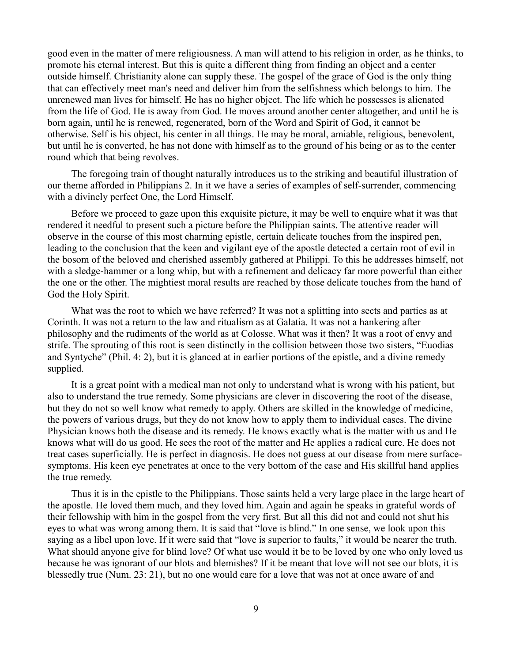good even in the matter of mere religiousness. A man will attend to his religion in order, as he thinks, to promote his eternal interest. But this is quite a different thing from finding an object and a center outside himself. Christianity alone can supply these. The gospel of the grace of God is the only thing that can effectively meet man's need and deliver him from the selfishness which belongs to him. The unrenewed man lives for himself. He has no higher object. The life which he possesses is alienated from the life of God. He is away from God. He moves around another center altogether, and until he is born again, until he is renewed, regenerated, born of the Word and Spirit of God, it cannot be otherwise. Self is his object, his center in all things. He may be moral, amiable, religious, benevolent, but until he is converted, he has not done with himself as to the ground of his being or as to the center round which that being revolves.

The foregoing train of thought naturally introduces us to the striking and beautiful illustration of our theme afforded in Philippians 2. In it we have a series of examples of self-surrender, commencing with a divinely perfect One, the Lord Himself.

Before we proceed to gaze upon this exquisite picture, it may be well to enquire what it was that rendered it needful to present such a picture before the Philippian saints. The attentive reader will observe in the course of this most charming epistle, certain delicate touches from the inspired pen, leading to the conclusion that the keen and vigilant eye of the apostle detected a certain root of evil in the bosom of the beloved and cherished assembly gathered at Philippi. To this he addresses himself, not with a sledge-hammer or a long whip, but with a refinement and delicacy far more powerful than either the one or the other. The mightiest moral results are reached by those delicate touches from the hand of God the Holy Spirit.

What was the root to which we have referred? It was not a splitting into sects and parties as at Corinth. It was not a return to the law and ritualism as at Galatia. It was not a hankering after philosophy and the rudiments of the world as at Colosse. What was it then? It was a root of envy and strife. The sprouting of this root is seen distinctly in the collision between those two sisters, "Euodias and Syntyche" (Phil. 4: 2), but it is glanced at in earlier portions of the epistle, and a divine remedy supplied.

It is a great point with a medical man not only to understand what is wrong with his patient, but also to understand the true remedy. Some physicians are clever in discovering the root of the disease, but they do not so well know what remedy to apply. Others are skilled in the knowledge of medicine, the powers of various drugs, but they do not know how to apply them to individual cases. The divine Physician knows both the disease and its remedy. He knows exactly what is the matter with us and He knows what will do us good. He sees the root of the matter and He applies a radical cure. He does not treat cases superficially. He is perfect in diagnosis. He does not guess at our disease from mere surfacesymptoms. His keen eye penetrates at once to the very bottom of the case and His skillful hand applies the true remedy.

Thus it is in the epistle to the Philippians. Those saints held a very large place in the large heart of the apostle. He loved them much, and they loved him. Again and again he speaks in grateful words of their fellowship with him in the gospel from the very first. But all this did not and could not shut his eyes to what was wrong among them. It is said that "love is blind." In one sense, we look upon this saying as a libel upon love. If it were said that "love is superior to faults," it would be nearer the truth. What should anyone give for blind love? Of what use would it be to be loved by one who only loved us because he was ignorant of our blots and blemishes? If it be meant that love will not see our blots, it is blessedly true (Num. 23: 21), but no one would care for a love that was not at once aware of and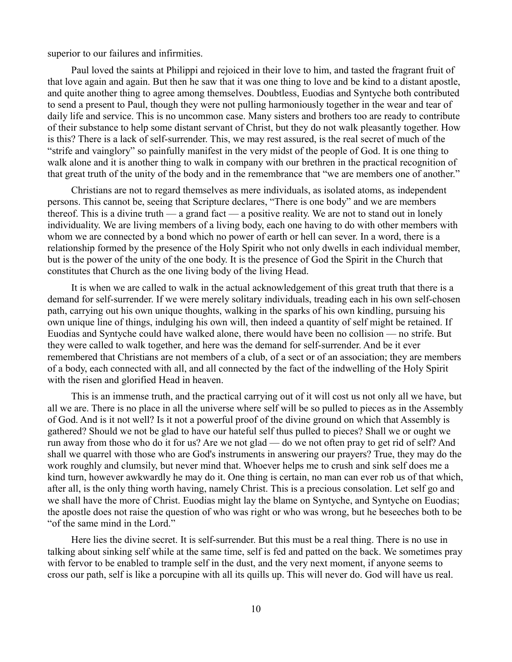superior to our failures and infirmities.

Paul loved the saints at Philippi and rejoiced in their love to him, and tasted the fragrant fruit of that love again and again. But then he saw that it was one thing to love and be kind to a distant apostle, and quite another thing to agree among themselves. Doubtless, Euodias and Syntyche both contributed to send a present to Paul, though they were not pulling harmoniously together in the wear and tear of daily life and service. This is no uncommon case. Many sisters and brothers too are ready to contribute of their substance to help some distant servant of Christ, but they do not walk pleasantly together. How is this? There is a lack of self-surrender. This, we may rest assured, is the real secret of much of the "strife and vainglory" so painfully manifest in the very midst of the people of God. It is one thing to walk alone and it is another thing to walk in company with our brethren in the practical recognition of that great truth of the unity of the body and in the remembrance that "we are members one of another."

Christians are not to regard themselves as mere individuals, as isolated atoms, as independent persons. This cannot be, seeing that Scripture declares, "There is one body" and we are members thereof. This is a divine truth — a grand fact — a positive reality. We are not to stand out in lonely individuality. We are living members of a living body, each one having to do with other members with whom we are connected by a bond which no power of earth or hell can sever. In a word, there is a relationship formed by the presence of the Holy Spirit who not only dwells in each individual member, but is the power of the unity of the one body. It is the presence of God the Spirit in the Church that constitutes that Church as the one living body of the living Head.

It is when we are called to walk in the actual acknowledgement of this great truth that there is a demand for self-surrender. If we were merely solitary individuals, treading each in his own self-chosen path, carrying out his own unique thoughts, walking in the sparks of his own kindling, pursuing his own unique line of things, indulging his own will, then indeed a quantity of self might be retained. If Euodias and Syntyche could have walked alone, there would have been no collision — no strife. But they were called to walk together, and here was the demand for self-surrender. And be it ever remembered that Christians are not members of a club, of a sect or of an association; they are members of a body, each connected with all, and all connected by the fact of the indwelling of the Holy Spirit with the risen and glorified Head in heaven.

This is an immense truth, and the practical carrying out of it will cost us not only all we have, but all we are. There is no place in all the universe where self will be so pulled to pieces as in the Assembly of God. And is it not well? Is it not a powerful proof of the divine ground on which that Assembly is gathered? Should we not be glad to have our hateful self thus pulled to pieces? Shall we or ought we run away from those who do it for us? Are we not glad — do we not often pray to get rid of self? And shall we quarrel with those who are God's instruments in answering our prayers? True, they may do the work roughly and clumsily, but never mind that. Whoever helps me to crush and sink self does me a kind turn, however awkwardly he may do it. One thing is certain, no man can ever rob us of that which, after all, is the only thing worth having, namely Christ. This is a precious consolation. Let self go and we shall have the more of Christ. Euodias might lay the blame on Syntyche, and Syntyche on Euodias; the apostle does not raise the question of who was right or who was wrong, but he beseeches both to be "of the same mind in the Lord."

Here lies the divine secret. It is self-surrender. But this must be a real thing. There is no use in talking about sinking self while at the same time, self is fed and patted on the back. We sometimes pray with fervor to be enabled to trample self in the dust, and the very next moment, if anyone seems to cross our path, self is like a porcupine with all its quills up. This will never do. God will have us real.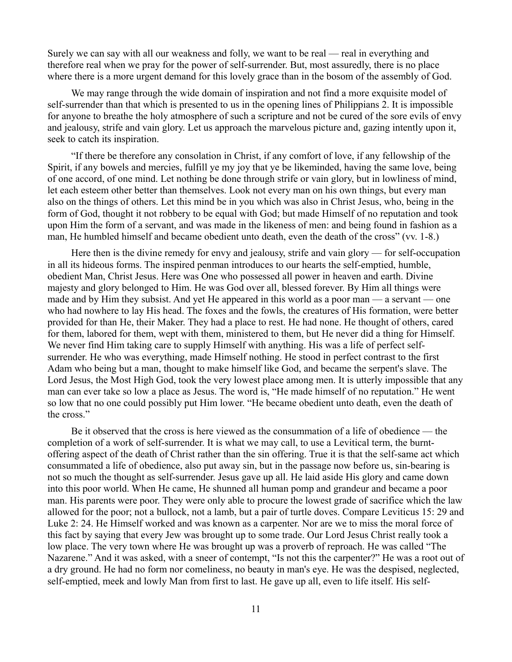Surely we can say with all our weakness and folly, we want to be real — real in everything and therefore real when we pray for the power of self-surrender. But, most assuredly, there is no place where there is a more urgent demand for this lovely grace than in the bosom of the assembly of God.

We may range through the wide domain of inspiration and not find a more exquisite model of self-surrender than that which is presented to us in the opening lines of Philippians 2. It is impossible for anyone to breathe the holy atmosphere of such a scripture and not be cured of the sore evils of envy and jealousy, strife and vain glory. Let us approach the marvelous picture and, gazing intently upon it, seek to catch its inspiration.

"If there be therefore any consolation in Christ, if any comfort of love, if any fellowship of the Spirit, if any bowels and mercies, fulfill ye my joy that ye be likeminded, having the same love, being of one accord, of one mind. Let nothing be done through strife or vain glory, but in lowliness of mind, let each esteem other better than themselves. Look not every man on his own things, but every man also on the things of others. Let this mind be in you which was also in Christ Jesus, who, being in the form of God, thought it not robbery to be equal with God; but made Himself of no reputation and took upon Him the form of a servant, and was made in the likeness of men: and being found in fashion as a man, He humbled himself and became obedient unto death, even the death of the cross" (vv. 1-8.)

Here then is the divine remedy for envy and jealousy, strife and vain glory — for self-occupation in all its hideous forms. The inspired penman introduces to our hearts the self-emptied, humble, obedient Man, Christ Jesus. Here was One who possessed all power in heaven and earth. Divine majesty and glory belonged to Him. He was God over all, blessed forever. By Him all things were made and by Him they subsist. And yet He appeared in this world as a poor man — a servant — one who had nowhere to lay His head. The foxes and the fowls, the creatures of His formation, were better provided for than He, their Maker. They had a place to rest. He had none. He thought of others, cared for them, labored for them, wept with them, ministered to them, but He never did a thing for Himself. We never find Him taking care to supply Himself with anything. His was a life of perfect selfsurrender. He who was everything, made Himself nothing. He stood in perfect contrast to the first Adam who being but a man, thought to make himself like God, and became the serpent's slave. The Lord Jesus, the Most High God, took the very lowest place among men. It is utterly impossible that any man can ever take so low a place as Jesus. The word is, "He made himself of no reputation." He went so low that no one could possibly put Him lower. "He became obedient unto death, even the death of the cross."

Be it observed that the cross is here viewed as the consummation of a life of obedience — the completion of a work of self-surrender. It is what we may call, to use a Levitical term, the burntoffering aspect of the death of Christ rather than the sin offering. True it is that the self-same act which consummated a life of obedience, also put away sin, but in the passage now before us, sin-bearing is not so much the thought as self-surrender. Jesus gave up all. He laid aside His glory and came down into this poor world. When He came, He shunned all human pomp and grandeur and became a poor man. His parents were poor. They were only able to procure the lowest grade of sacrifice which the law allowed for the poor; not a bullock, not a lamb, but a pair of turtle doves. Compare Leviticus 15: 29 and Luke 2: 24. He Himself worked and was known as a carpenter. Nor are we to miss the moral force of this fact by saying that every Jew was brought up to some trade. Our Lord Jesus Christ really took a low place. The very town where He was brought up was a proverb of reproach. He was called "The Nazarene." And it was asked, with a sneer of contempt, "Is not this the carpenter?" He was a root out of a dry ground. He had no form nor comeliness, no beauty in man's eye. He was the despised, neglected, self-emptied, meek and lowly Man from first to last. He gave up all, even to life itself. His self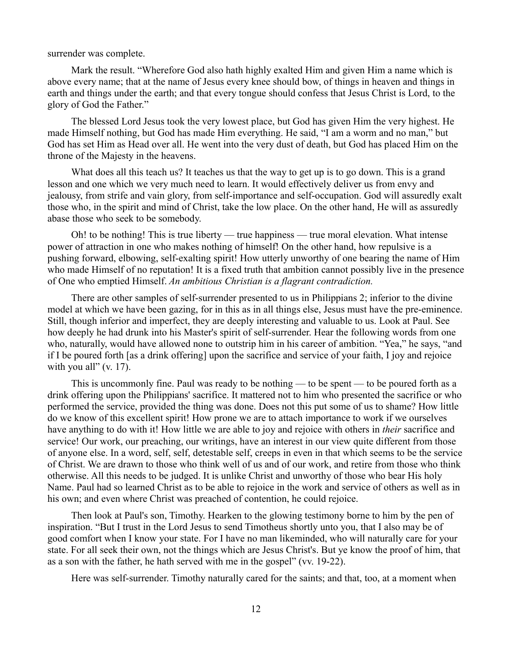surrender was complete.

Mark the result. "Wherefore God also hath highly exalted Him and given Him a name which is above every name; that at the name of Jesus every knee should bow, of things in heaven and things in earth and things under the earth; and that every tongue should confess that Jesus Christ is Lord, to the glory of God the Father."

The blessed Lord Jesus took the very lowest place, but God has given Him the very highest. He made Himself nothing, but God has made Him everything. He said, "I am a worm and no man," but God has set Him as Head over all. He went into the very dust of death, but God has placed Him on the throne of the Majesty in the heavens.

What does all this teach us? It teaches us that the way to get up is to go down. This is a grand lesson and one which we very much need to learn. It would effectively deliver us from envy and jealousy, from strife and vain glory, from self-importance and self-occupation. God will assuredly exalt those who, in the spirit and mind of Christ, take the low place. On the other hand, He will as assuredly abase those who seek to be somebody.

Oh! to be nothing! This is true liberty — true happiness — true moral elevation. What intense power of attraction in one who makes nothing of himself! On the other hand, how repulsive is a pushing forward, elbowing, self-exalting spirit! How utterly unworthy of one bearing the name of Him who made Himself of no reputation! It is a fixed truth that ambition cannot possibly live in the presence of One who emptied Himself. *An ambitious Christian is a flagrant contradiction.*

There are other samples of self-surrender presented to us in Philippians 2; inferior to the divine model at which we have been gazing, for in this as in all things else, Jesus must have the pre-eminence. Still, though inferior and imperfect, they are deeply interesting and valuable to us. Look at Paul. See how deeply he had drunk into his Master's spirit of self-surrender. Hear the following words from one who, naturally, would have allowed none to outstrip him in his career of ambition. "Yea," he says, "and if I be poured forth [as a drink offering] upon the sacrifice and service of your faith, I joy and rejoice with you all"  $(v. 17)$ .

This is uncommonly fine. Paul was ready to be nothing — to be spent — to be poured forth as a drink offering upon the Philippians' sacrifice. It mattered not to him who presented the sacrifice or who performed the service, provided the thing was done. Does not this put some of us to shame? How little do we know of this excellent spirit! How prone we are to attach importance to work if we ourselves have anything to do with it! How little we are able to joy and rejoice with others in *their* sacrifice and service! Our work, our preaching, our writings, have an interest in our view quite different from those of anyone else. In a word, self, self, detestable self, creeps in even in that which seems to be the service of Christ. We are drawn to those who think well of us and of our work, and retire from those who think otherwise. All this needs to be judged. It is unlike Christ and unworthy of those who bear His holy Name. Paul had so learned Christ as to be able to rejoice in the work and service of others as well as in his own; and even where Christ was preached of contention, he could rejoice.

Then look at Paul's son, Timothy. Hearken to the glowing testimony borne to him by the pen of inspiration. "But I trust in the Lord Jesus to send Timotheus shortly unto you, that I also may be of good comfort when I know your state. For I have no man likeminded, who will naturally care for your state. For all seek their own, not the things which are Jesus Christ's. But ye know the proof of him, that as a son with the father, he hath served with me in the gospel" (vv. 19-22).

Here was self-surrender. Timothy naturally cared for the saints; and that, too, at a moment when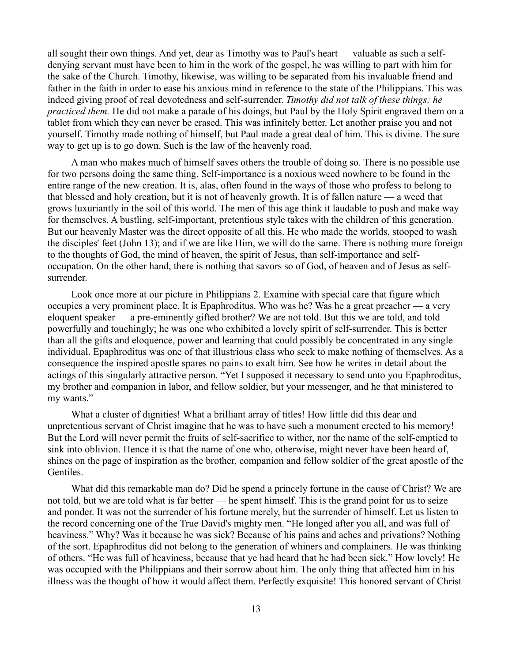all sought their own things. And yet, dear as Timothy was to Paul's heart — valuable as such a selfdenying servant must have been to him in the work of the gospel, he was willing to part with him for the sake of the Church. Timothy, likewise, was willing to be separated from his invaluable friend and father in the faith in order to ease his anxious mind in reference to the state of the Philippians. This was indeed giving proof of real devotedness and self-surrender. *Timothy did not talk of these things; he practiced them.* He did not make a parade of his doings, but Paul by the Holy Spirit engraved them on a tablet from which they can never be erased. This was infinitely better. Let another praise you and not yourself. Timothy made nothing of himself, but Paul made a great deal of him. This is divine. The sure way to get up is to go down. Such is the law of the heavenly road.

A man who makes much of himself saves others the trouble of doing so. There is no possible use for two persons doing the same thing. Self-importance is a noxious weed nowhere to be found in the entire range of the new creation. It is, alas, often found in the ways of those who profess to belong to that blessed and holy creation, but it is not of heavenly growth. It is of fallen nature — a weed that grows luxuriantly in the soil of this world. The men of this age think it laudable to push and make way for themselves. A bustling, self-important, pretentious style takes with the children of this generation. But our heavenly Master was the direct opposite of all this. He who made the worlds, stooped to wash the disciples' feet (John 13); and if we are like Him, we will do the same. There is nothing more foreign to the thoughts of God, the mind of heaven, the spirit of Jesus, than self-importance and selfoccupation. On the other hand, there is nothing that savors so of God, of heaven and of Jesus as selfsurrender.

Look once more at our picture in Philippians 2. Examine with special care that figure which occupies a very prominent place. It is Epaphroditus. Who was he? Was he a great preacher — a very eloquent speaker — a pre-eminently gifted brother? We are not told. But this we are told, and told powerfully and touchingly; he was one who exhibited a lovely spirit of self-surrender. This is better than all the gifts and eloquence, power and learning that could possibly be concentrated in any single individual. Epaphroditus was one of that illustrious class who seek to make nothing of themselves. As a consequence the inspired apostle spares no pains to exalt him. See how he writes in detail about the actings of this singularly attractive person. "Yet I supposed it necessary to send unto you Epaphroditus, my brother and companion in labor, and fellow soldier, but your messenger, and he that ministered to my wants."

What a cluster of dignities! What a brilliant array of titles! How little did this dear and unpretentious servant of Christ imagine that he was to have such a monument erected to his memory! But the Lord will never permit the fruits of self-sacrifice to wither, nor the name of the self-emptied to sink into oblivion. Hence it is that the name of one who, otherwise, might never have been heard of, shines on the page of inspiration as the brother, companion and fellow soldier of the great apostle of the Gentiles.

What did this remarkable man do? Did he spend a princely fortune in the cause of Christ? We are not told, but we are told what is far better — he spent himself. This is the grand point for us to seize and ponder. It was not the surrender of his fortune merely, but the surrender of himself. Let us listen to the record concerning one of the True David's mighty men. "He longed after you all, and was full of heaviness." Why? Was it because he was sick? Because of his pains and aches and privations? Nothing of the sort. Epaphroditus did not belong to the generation of whiners and complainers. He was thinking of others. "He was full of heaviness, because that ye had heard that he had been sick." How lovely! He was occupied with the Philippians and their sorrow about him. The only thing that affected him in his illness was the thought of how it would affect them. Perfectly exquisite! This honored servant of Christ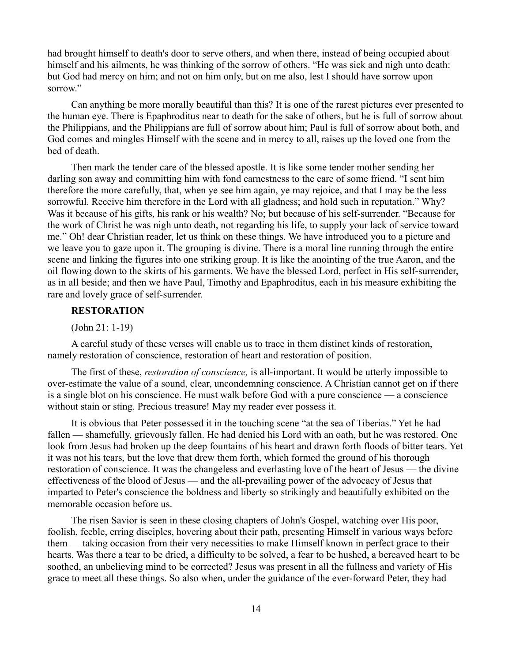had brought himself to death's door to serve others, and when there, instead of being occupied about himself and his ailments, he was thinking of the sorrow of others. "He was sick and nigh unto death: but God had mercy on him; and not on him only, but on me also, lest I should have sorrow upon sorrow."

Can anything be more morally beautiful than this? It is one of the rarest pictures ever presented to the human eye. There is Epaphroditus near to death for the sake of others, but he is full of sorrow about the Philippians, and the Philippians are full of sorrow about him; Paul is full of sorrow about both, and God comes and mingles Himself with the scene and in mercy to all, raises up the loved one from the bed of death.

Then mark the tender care of the blessed apostle. It is like some tender mother sending her darling son away and committing him with fond earnestness to the care of some friend. "I sent him therefore the more carefully, that, when ye see him again, ye may rejoice, and that I may be the less sorrowful. Receive him therefore in the Lord with all gladness; and hold such in reputation." Why? Was it because of his gifts, his rank or his wealth? No; but because of his self-surrender. "Because for the work of Christ he was nigh unto death, not regarding his life, to supply your lack of service toward me." Oh! dear Christian reader, let us think on these things. We have introduced you to a picture and we leave you to gaze upon it. The grouping is divine. There is a moral line running through the entire scene and linking the figures into one striking group. It is like the anointing of the true Aaron, and the oil flowing down to the skirts of his garments. We have the blessed Lord, perfect in His self-surrender, as in all beside; and then we have Paul, Timothy and Epaphroditus, each in his measure exhibiting the rare and lovely grace of self-surrender.

## **RESTORATION**

(John 21: 1-19)

A careful study of these verses will enable us to trace in them distinct kinds of restoration, namely restoration of conscience, restoration of heart and restoration of position.

The first of these, *restoration of conscience,* is all-important. It would be utterly impossible to over-estimate the value of a sound, clear, uncondemning conscience. A Christian cannot get on if there is a single blot on his conscience. He must walk before God with a pure conscience — a conscience without stain or sting. Precious treasure! May my reader ever possess it.

It is obvious that Peter possessed it in the touching scene "at the sea of Tiberias." Yet he had fallen — shamefully, grievously fallen. He had denied his Lord with an oath, but he was restored. One look from Jesus had broken up the deep fountains of his heart and drawn forth floods of bitter tears. Yet it was not his tears, but the love that drew them forth, which formed the ground of his thorough restoration of conscience. It was the changeless and everlasting love of the heart of Jesus — the divine effectiveness of the blood of Jesus — and the all-prevailing power of the advocacy of Jesus that imparted to Peter's conscience the boldness and liberty so strikingly and beautifully exhibited on the memorable occasion before us.

The risen Savior is seen in these closing chapters of John's Gospel, watching over His poor, foolish, feeble, erring disciples, hovering about their path, presenting Himself in various ways before them — taking occasion from their very necessities to make Himself known in perfect grace to their hearts. Was there a tear to be dried, a difficulty to be solved, a fear to be hushed, a bereaved heart to be soothed, an unbelieving mind to be corrected? Jesus was present in all the fullness and variety of His grace to meet all these things. So also when, under the guidance of the ever-forward Peter, they had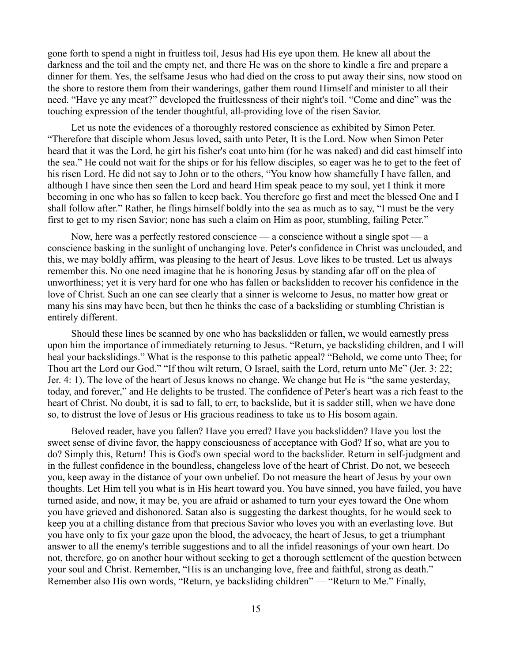gone forth to spend a night in fruitless toil, Jesus had His eye upon them. He knew all about the darkness and the toil and the empty net, and there He was on the shore to kindle a fire and prepare a dinner for them. Yes, the selfsame Jesus who had died on the cross to put away their sins, now stood on the shore to restore them from their wanderings, gather them round Himself and minister to all their need. "Have ye any meat?" developed the fruitlessness of their night's toil. "Come and dine" was the touching expression of the tender thoughtful, all-providing love of the risen Savior.

Let us note the evidences of a thoroughly restored conscience as exhibited by Simon Peter. "Therefore that disciple whom Jesus loved, saith unto Peter, It is the Lord. Now when Simon Peter heard that it was the Lord, he girt his fisher's coat unto him (for he was naked) and did cast himself into the sea." He could not wait for the ships or for his fellow disciples, so eager was he to get to the feet of his risen Lord. He did not say to John or to the others, "You know how shamefully I have fallen, and although I have since then seen the Lord and heard Him speak peace to my soul, yet I think it more becoming in one who has so fallen to keep back. You therefore go first and meet the blessed One and I shall follow after." Rather, he flings himself boldly into the sea as much as to say, "I must be the very first to get to my risen Savior; none has such a claim on Him as poor, stumbling, failing Peter."

Now, here was a perfectly restored conscience — a conscience without a single spot — a conscience basking in the sunlight of unchanging love. Peter's confidence in Christ was unclouded, and this, we may boldly affirm, was pleasing to the heart of Jesus. Love likes to be trusted. Let us always remember this. No one need imagine that he is honoring Jesus by standing afar off on the plea of unworthiness; yet it is very hard for one who has fallen or backslidden to recover his confidence in the love of Christ. Such an one can see clearly that a sinner is welcome to Jesus, no matter how great or many his sins may have been, but then he thinks the case of a backsliding or stumbling Christian is entirely different.

Should these lines be scanned by one who has backslidden or fallen, we would earnestly press upon him the importance of immediately returning to Jesus. "Return, ye backsliding children, and I will heal your backslidings." What is the response to this pathetic appeal? "Behold, we come unto Thee; for Thou art the Lord our God." "If thou wilt return, O Israel, saith the Lord, return unto Me" (Jer. 3: 22; Jer. 4: 1). The love of the heart of Jesus knows no change. We change but He is "the same yesterday, today, and forever," and He delights to be trusted. The confidence of Peter's heart was a rich feast to the heart of Christ. No doubt, it is sad to fall, to err, to backslide, but it is sadder still, when we have done so, to distrust the love of Jesus or His gracious readiness to take us to His bosom again.

Beloved reader, have you fallen? Have you erred? Have you backslidden? Have you lost the sweet sense of divine favor, the happy consciousness of acceptance with God? If so, what are you to do? Simply this, Return! This is God's own special word to the backslider. Return in self-judgment and in the fullest confidence in the boundless, changeless love of the heart of Christ. Do not, we beseech you, keep away in the distance of your own unbelief. Do not measure the heart of Jesus by your own thoughts. Let Him tell you what is in His heart toward you. You have sinned, you have failed, you have turned aside, and now, it may be, you are afraid or ashamed to turn your eyes toward the One whom you have grieved and dishonored. Satan also is suggesting the darkest thoughts, for he would seek to keep you at a chilling distance from that precious Savior who loves you with an everlasting love. But you have only to fix your gaze upon the blood, the advocacy, the heart of Jesus, to get a triumphant answer to all the enemy's terrible suggestions and to all the infidel reasonings of your own heart. Do not, therefore, go on another hour without seeking to get a thorough settlement of the question between your soul and Christ. Remember, "His is an unchanging love, free and faithful, strong as death." Remember also His own words, "Return, ye backsliding children" — "Return to Me." Finally,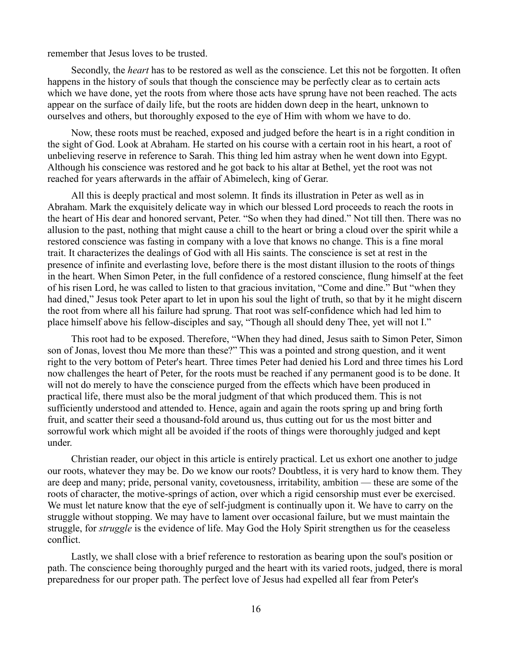remember that Jesus loves to be trusted.

Secondly, the *heart* has to be restored as well as the conscience. Let this not be forgotten. It often happens in the history of souls that though the conscience may be perfectly clear as to certain acts which we have done, yet the roots from where those acts have sprung have not been reached. The acts appear on the surface of daily life, but the roots are hidden down deep in the heart, unknown to ourselves and others, but thoroughly exposed to the eye of Him with whom we have to do.

Now, these roots must be reached, exposed and judged before the heart is in a right condition in the sight of God. Look at Abraham. He started on his course with a certain root in his heart, a root of unbelieving reserve in reference to Sarah. This thing led him astray when he went down into Egypt. Although his conscience was restored and he got back to his altar at Bethel, yet the root was not reached for years afterwards in the affair of Abimelech, king of Gerar.

All this is deeply practical and most solemn. It finds its illustration in Peter as well as in Abraham. Mark the exquisitely delicate way in which our blessed Lord proceeds to reach the roots in the heart of His dear and honored servant, Peter. "So when they had dined." Not till then. There was no allusion to the past, nothing that might cause a chill to the heart or bring a cloud over the spirit while a restored conscience was fasting in company with a love that knows no change. This is a fine moral trait. It characterizes the dealings of God with all His saints. The conscience is set at rest in the presence of infinite and everlasting love, before there is the most distant illusion to the roots of things in the heart. When Simon Peter, in the full confidence of a restored conscience, flung himself at the feet of his risen Lord, he was called to listen to that gracious invitation, "Come and dine." But "when they had dined," Jesus took Peter apart to let in upon his soul the light of truth, so that by it he might discern the root from where all his failure had sprung. That root was self-confidence which had led him to place himself above his fellow-disciples and say, "Though all should deny Thee, yet will not I."

This root had to be exposed. Therefore, "When they had dined, Jesus saith to Simon Peter, Simon son of Jonas, lovest thou Me more than these?" This was a pointed and strong question, and it went right to the very bottom of Peter's heart. Three times Peter had denied his Lord and three times his Lord now challenges the heart of Peter, for the roots must be reached if any permanent good is to be done. It will not do merely to have the conscience purged from the effects which have been produced in practical life, there must also be the moral judgment of that which produced them. This is not sufficiently understood and attended to. Hence, again and again the roots spring up and bring forth fruit, and scatter their seed a thousand-fold around us, thus cutting out for us the most bitter and sorrowful work which might all be avoided if the roots of things were thoroughly judged and kept under.

Christian reader, our object in this article is entirely practical. Let us exhort one another to judge our roots, whatever they may be. Do we know our roots? Doubtless, it is very hard to know them. They are deep and many; pride, personal vanity, covetousness, irritability, ambition — these are some of the roots of character, the motive-springs of action, over which a rigid censorship must ever be exercised. We must let nature know that the eye of self-judgment is continually upon it. We have to carry on the struggle without stopping. We may have to lament over occasional failure, but we must maintain the struggle, for *struggle* is the evidence of life. May God the Holy Spirit strengthen us for the ceaseless conflict.

Lastly, we shall close with a brief reference to restoration as bearing upon the soul's position or path. The conscience being thoroughly purged and the heart with its varied roots, judged, there is moral preparedness for our proper path. The perfect love of Jesus had expelled all fear from Peter's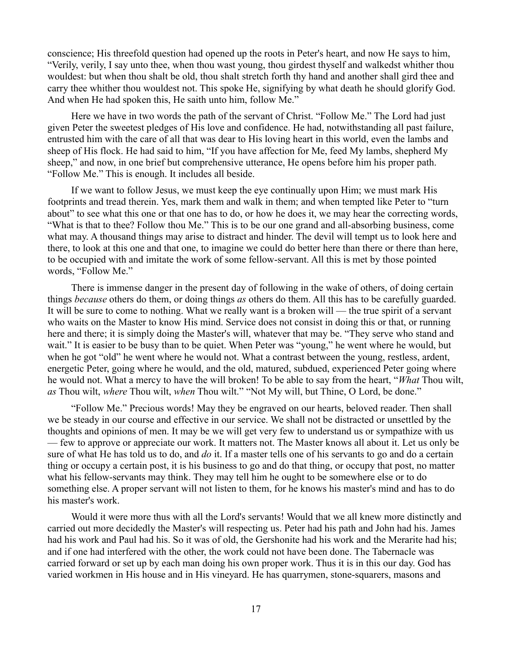conscience; His threefold question had opened up the roots in Peter's heart, and now He says to him, "Verily, verily, I say unto thee, when thou wast young, thou girdest thyself and walkedst whither thou wouldest: but when thou shalt be old, thou shalt stretch forth thy hand and another shall gird thee and carry thee whither thou wouldest not. This spoke He, signifying by what death he should glorify God. And when He had spoken this, He saith unto him, follow Me."

Here we have in two words the path of the servant of Christ. "Follow Me." The Lord had just given Peter the sweetest pledges of His love and confidence. He had, notwithstanding all past failure, entrusted him with the care of all that was dear to His loving heart in this world, even the lambs and sheep of His flock. He had said to him, "If you have affection for Me, feed My lambs, shepherd My sheep," and now, in one brief but comprehensive utterance, He opens before him his proper path. "Follow Me." This is enough. It includes all beside.

If we want to follow Jesus, we must keep the eye continually upon Him; we must mark His footprints and tread therein. Yes, mark them and walk in them; and when tempted like Peter to "turn about" to see what this one or that one has to do, or how he does it, we may hear the correcting words, "What is that to thee? Follow thou Me." This is to be our one grand and all-absorbing business, come what may. A thousand things may arise to distract and hinder. The devil will tempt us to look here and there, to look at this one and that one, to imagine we could do better here than there or there than here, to be occupied with and imitate the work of some fellow-servant. All this is met by those pointed words, "Follow Me."

There is immense danger in the present day of following in the wake of others, of doing certain things *because* others do them, or doing things *as* others do them. All this has to be carefully guarded. It will be sure to come to nothing. What we really want is a broken will — the true spirit of a servant who waits on the Master to know His mind. Service does not consist in doing this or that, or running here and there; it is simply doing the Master's will, whatever that may be. "They serve who stand and wait." It is easier to be busy than to be quiet. When Peter was "young," he went where he would, but when he got "old" he went where he would not. What a contrast between the young, restless, ardent, energetic Peter, going where he would, and the old, matured, subdued, experienced Peter going where he would not. What a mercy to have the will broken! To be able to say from the heart, "*What* Thou wilt, *as* Thou wilt, *where* Thou wilt, *when* Thou wilt." "Not My will, but Thine, O Lord, be done."

"Follow Me." Precious words! May they be engraved on our hearts, beloved reader. Then shall we be steady in our course and effective in our service. We shall not be distracted or unsettled by the thoughts and opinions of men. It may be we will get very few to understand us or sympathize with us — few to approve or appreciate our work. It matters not. The Master knows all about it. Let us only be sure of what He has told us to do, and *do* it. If a master tells one of his servants to go and do a certain thing or occupy a certain post, it is his business to go and do that thing, or occupy that post, no matter what his fellow-servants may think. They may tell him he ought to be somewhere else or to do something else. A proper servant will not listen to them, for he knows his master's mind and has to do his master's work.

Would it were more thus with all the Lord's servants! Would that we all knew more distinctly and carried out more decidedly the Master's will respecting us. Peter had his path and John had his. James had his work and Paul had his. So it was of old, the Gershonite had his work and the Merarite had his; and if one had interfered with the other, the work could not have been done. The Tabernacle was carried forward or set up by each man doing his own proper work. Thus it is in this our day. God has varied workmen in His house and in His vineyard. He has quarrymen, stone-squarers, masons and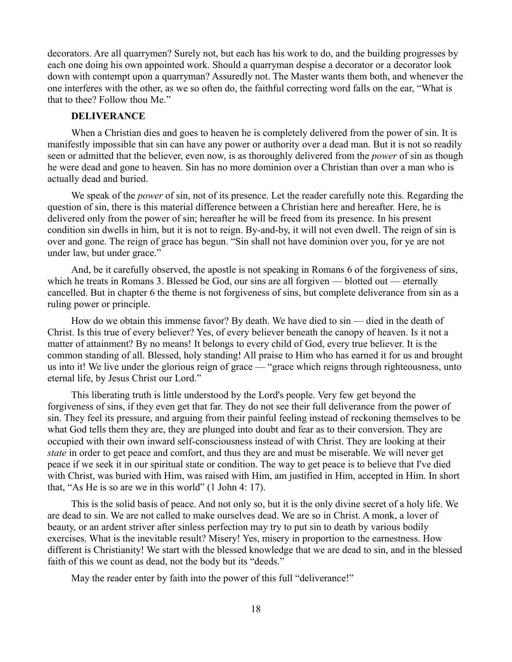decorators. Are all quarrymen? Surely not, but each has his work to do, and the building progresses by each one doing his own appointed work. Should a quarryman despise a decorator or a decorator look down with contempt upon a quarryman? Assuredly not. The Master wants them both, and whenever the one interferes with the other, as we so often do, the faithful correcting word falls on the ear, "What is that to thee? Follow thou Me."

# **DELIVERANCE**

When a Christian dies and goes to heaven he is completely delivered from the power of sin. It is manifestly impossible that sin can have any power or authority over a dead man. But it is not so readily seen or admitted that the believer, even now, is as thoroughly delivered from the *power* of sin as though he were dead and gone to heaven. Sin has no more dominion over a Christian than over a man who is actually dead and buried.

We speak of the *power* of sin, not of its presence. Let the reader carefully note this. Regarding the question of sin, there is this material difference between a Christian here and hereafter. Here, he is delivered only from the power of sin; hereafter he will be freed from its presence. In his present condition sin dwells in him, but it is not to reign. By-and-by, it will not even dwell. The reign of sin is over and gone. The reign of grace has begun. "Sin shall not have dominion over you, for ye are not under law, but under grace."

And, be it carefully observed, the apostle is not speaking in Romans 6 of the forgiveness of sins, which he treats in Romans 3. Blessed be God, our sins are all forgiven — blotted out — eternally cancelled. But in chapter 6 the theme is not forgiveness of sins, but complete deliverance from sin as a ruling power or principle.

How do we obtain this immense favor? By death. We have died to sin — died in the death of Christ. Is this true of every believer? Yes, of every believer beneath the canopy of heaven. Is it not a matter of attainment? By no means! It belongs to every child of God, every true believer. It is the common standing of all. Blessed, holy standing! All praise to Him who has earned it for us and brought us into it! We live under the glorious reign of grace — "grace which reigns through righteousness, unto eternal life, by Jesus Christ our Lord."

This liberating truth is little understood by the Lord's people. Very few get beyond the forgiveness of sins, if they even get that far. They do not see their full deliverance from the power of sin. They feel its pressure, and arguing from their painful feeling instead of reckoning themselves to be what God tells them they are, they are plunged into doubt and fear as to their conversion. They are occupied with their own inward self-consciousness instead of with Christ. They are looking at their *state* in order to get peace and comfort, and thus they are and must be miserable. We will never get peace if we seek it in our spiritual state or condition. The way to get peace is to believe that I've died with Christ, was buried with Him, was raised with Him, am justified in Him, accepted in Him. In short that, "As He is so are we in this world" (1 John 4: 17).

This is the solid basis of peace. And not only so, but it is the only divine secret of a holy life. We are dead to sin. We are not called to make ourselves dead. We are so in Christ. A monk, a lover of beauty, or an ardent striver after sinless perfection may try to put sin to death by various bodily exercises. What is the inevitable result? Misery! Yes, misery in proportion to the earnestness. How different is Christianity! We start with the blessed knowledge that we are dead to sin, and in the blessed faith of this we count as dead, not the body but its "deeds."

May the reader enter by faith into the power of this full "deliverance!"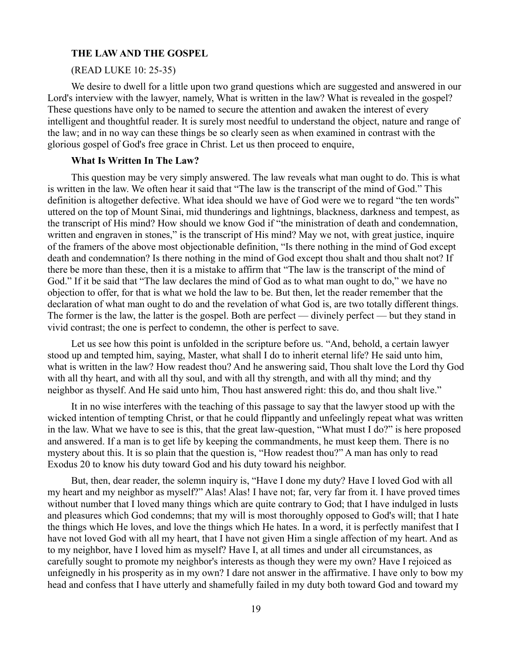#### **THE LAW AND THE GOSPEL**

### (READ LUKE 10: 25-35)

We desire to dwell for a little upon two grand questions which are suggested and answered in our Lord's interview with the lawyer, namely, What is written in the law? What is revealed in the gospel? These questions have only to be named to secure the attention and awaken the interest of every intelligent and thoughtful reader. It is surely most needful to understand the object, nature and range of the law; and in no way can these things be so clearly seen as when examined in contrast with the glorious gospel of God's free grace in Christ. Let us then proceed to enquire,

## **What Is Written In The Law?**

This question may be very simply answered. The law reveals what man ought to do. This is what is written in the law. We often hear it said that "The law is the transcript of the mind of God." This definition is altogether defective. What idea should we have of God were we to regard "the ten words" uttered on the top of Mount Sinai, mid thunderings and lightnings, blackness, darkness and tempest, as the transcript of His mind? How should we know God if "the ministration of death and condemnation, written and engraven in stones," is the transcript of His mind? May we not, with great justice, inquire of the framers of the above most objectionable definition, "Is there nothing in the mind of God except death and condemnation? Is there nothing in the mind of God except thou shalt and thou shalt not? If there be more than these, then it is a mistake to affirm that "The law is the transcript of the mind of God." If it be said that "The law declares the mind of God as to what man ought to do," we have no objection to offer, for that is what we hold the law to be. But then, let the reader remember that the declaration of what man ought to do and the revelation of what God is, are two totally different things. The former is the law, the latter is the gospel. Both are perfect — divinely perfect — but they stand in vivid contrast; the one is perfect to condemn, the other is perfect to save.

Let us see how this point is unfolded in the scripture before us. "And, behold, a certain lawyer stood up and tempted him, saying, Master, what shall I do to inherit eternal life? He said unto him, what is written in the law? How readest thou? And he answering said, Thou shalt love the Lord thy God with all thy heart, and with all thy soul, and with all thy strength, and with all thy mind; and thy neighbor as thyself. And He said unto him, Thou hast answered right: this do, and thou shalt live."

It in no wise interferes with the teaching of this passage to say that the lawyer stood up with the wicked intention of tempting Christ, or that he could flippantly and unfeelingly repeat what was written in the law. What we have to see is this, that the great law-question, "What must I do?" is here proposed and answered. If a man is to get life by keeping the commandments, he must keep them. There is no mystery about this. It is so plain that the question is, "How readest thou?" A man has only to read Exodus 20 to know his duty toward God and his duty toward his neighbor.

But, then, dear reader, the solemn inquiry is, "Have I done my duty? Have I loved God with all my heart and my neighbor as myself?" Alas! Alas! I have not; far, very far from it. I have proved times without number that I loved many things which are quite contrary to God; that I have indulged in lusts and pleasures which God condemns; that my will is most thoroughly opposed to God's will; that I hate the things which He loves, and love the things which He hates. In a word, it is perfectly manifest that I have not loved God with all my heart, that I have not given Him a single affection of my heart. And as to my neighbor, have I loved him as myself? Have I, at all times and under all circumstances, as carefully sought to promote my neighbor's interests as though they were my own? Have I rejoiced as unfeignedly in his prosperity as in my own? I dare not answer in the affirmative. I have only to bow my head and confess that I have utterly and shamefully failed in my duty both toward God and toward my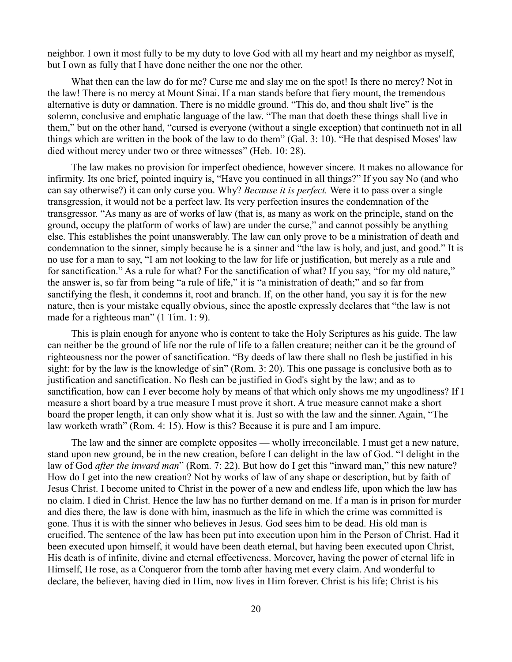neighbor. I own it most fully to be my duty to love God with all my heart and my neighbor as myself, but I own as fully that I have done neither the one nor the other.

What then can the law do for me? Curse me and slay me on the spot! Is there no mercy? Not in the law! There is no mercy at Mount Sinai. If a man stands before that fiery mount, the tremendous alternative is duty or damnation. There is no middle ground. "This do, and thou shalt live" is the solemn, conclusive and emphatic language of the law. "The man that doeth these things shall live in them," but on the other hand, "cursed is everyone (without a single exception) that continueth not in all things which are written in the book of the law to do them" (Gal. 3: 10). "He that despised Moses' law died without mercy under two or three witnesses" (Heb. 10: 28).

The law makes no provision for imperfect obedience, however sincere. It makes no allowance for infirmity. Its one brief, pointed inquiry is, "Have you continued in all things?" If you say No (and who can say otherwise?) it can only curse you. Why? *Because it is perfect.* Were it to pass over a single transgression, it would not be a perfect law. Its very perfection insures the condemnation of the transgressor. "As many as are of works of law (that is, as many as work on the principle, stand on the ground, occupy the platform of works of law) are under the curse," and cannot possibly be anything else. This establishes the point unanswerably. The law can only prove to be a ministration of death and condemnation to the sinner, simply because he is a sinner and "the law is holy, and just, and good." It is no use for a man to say, "I am not looking to the law for life or justification, but merely as a rule and for sanctification." As a rule for what? For the sanctification of what? If you say, "for my old nature," the answer is, so far from being "a rule of life," it is "a ministration of death;" and so far from sanctifying the flesh, it condemns it, root and branch. If, on the other hand, you say it is for the new nature, then is your mistake equally obvious, since the apostle expressly declares that "the law is not made for a righteous man" (1 Tim. 1: 9).

This is plain enough for anyone who is content to take the Holy Scriptures as his guide. The law can neither be the ground of life nor the rule of life to a fallen creature; neither can it be the ground of righteousness nor the power of sanctification. "By deeds of law there shall no flesh be justified in his sight: for by the law is the knowledge of sin" (Rom. 3: 20). This one passage is conclusive both as to justification and sanctification. No flesh can be justified in God's sight by the law; and as to sanctification, how can I ever become holy by means of that which only shows me my ungodliness? If I measure a short board by a true measure I must prove it short. A true measure cannot make a short board the proper length, it can only show what it is. Just so with the law and the sinner. Again, "The law worketh wrath" (Rom. 4: 15). How is this? Because it is pure and I am impure.

The law and the sinner are complete opposites — wholly irreconcilable. I must get a new nature, stand upon new ground, be in the new creation, before I can delight in the law of God. "I delight in the law of God *after the inward man*" (Rom. 7: 22). But how do I get this "inward man," this new nature? How do I get into the new creation? Not by works of law of any shape or description, but by faith of Jesus Christ. I become united to Christ in the power of a new and endless life, upon which the law has no claim. I died in Christ. Hence the law has no further demand on me. If a man is in prison for murder and dies there, the law is done with him, inasmuch as the life in which the crime was committed is gone. Thus it is with the sinner who believes in Jesus. God sees him to be dead. His old man is crucified. The sentence of the law has been put into execution upon him in the Person of Christ. Had it been executed upon himself, it would have been death eternal, but having been executed upon Christ, His death is of infinite, divine and eternal effectiveness. Moreover, having the power of eternal life in Himself, He rose, as a Conqueror from the tomb after having met every claim. And wonderful to declare, the believer, having died in Him, now lives in Him forever. Christ is his life; Christ is his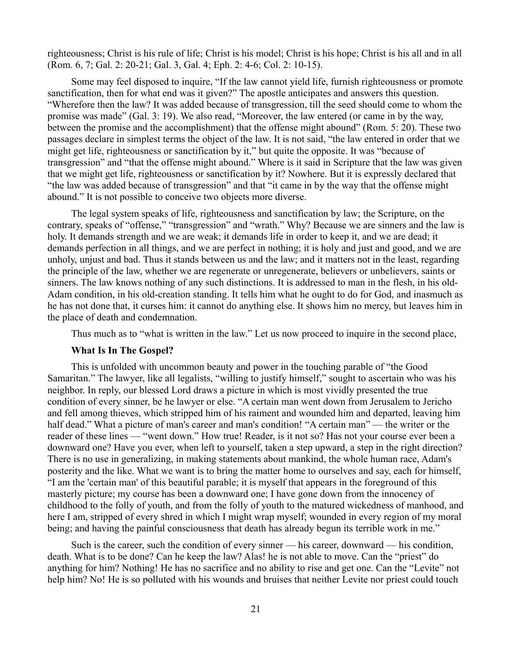righteousness; Christ is his rule of life; Christ is his model; Christ is his hope; Christ is his all and in all (Rom. 6, 7; Gal. 2: 20-21; Gal. 3, Gal. 4; Eph. 2: 4-6; Col. 2: 10-15).

Some may feel disposed to inquire, "If the law cannot yield life, furnish righteousness or promote sanctification, then for what end was it given?" The apostle anticipates and answers this question. "Wherefore then the law? It was added because of transgression, till the seed should come to whom the promise was made" (Gal. 3: 19). We also read, "Moreover, the law entered (or came in by the way, between the promise and the accomplishment) that the offense might abound" (Rom. 5: 20). These two passages declare in simplest terms the object of the law. It is not said, "the law entered in order that we might get life, righteousness or sanctification by it," but quite the opposite. It was "because of transgression" and "that the offense might abound." Where is it said in Scripture that the law was given that we might get life, righteousness or sanctification by it? Nowhere. But it is expressly declared that "the law was added because of transgression" and that "it came in by the way that the offense might abound." It is not possible to conceive two objects more diverse.

The legal system speaks of life, righteousness and sanctification by law; the Scripture, on the contrary, speaks of "offense," "transgression" and "wrath." Why? Because we are sinners and the law is holy. It demands strength and we are weak; it demands life in order to keep it, and we are dead; it demands perfection in all things, and we are perfect in nothing; it is holy and just and good, and we are unholy, unjust and bad. Thus it stands between us and the law; and it matters not in the least, regarding the principle of the law, whether we are regenerate or unregenerate, believers or unbelievers, saints or sinners. The law knows nothing of any such distinctions. It is addressed to man in the flesh, in his old-Adam condition, in his old-creation standing. It tells him what he ought to do for God, and inasmuch as he has not done that, it curses him: it cannot do anything else. It shows him no mercy, but leaves him in the place of death and condemnation.

Thus much as to "what is written in the law." Let us now proceed to inquire in the second place,

#### **What Is In The Gospel?**

This is unfolded with uncommon beauty and power in the touching parable of "the Good Samaritan." The lawyer, like all legalists, "willing to justify himself," sought to ascertain who was his neighbor. In reply, our blessed Lord draws a picture in which is most vividly presented the true condition of every sinner, be he lawyer or else. "A certain man went down from Jerusalem to Jericho and fell among thieves, which stripped him of his raiment and wounded him and departed, leaving him half dead." What a picture of man's career and man's condition! "A certain man" — the writer or the reader of these lines — "went down." How true! Reader, is it not so? Has not your course ever been a downward one? Have you ever, when left to yourself, taken a step upward, a step in the right direction? There is no use in generalizing, in making statements about mankind, the whole human race, Adam's posterity and the like. What we want is to bring the matter home to ourselves and say, each for himself, "I am the 'certain man' of this beautiful parable; it is myself that appears in the foreground of this masterly picture; my course has been a downward one; I have gone down from the innocency of childhood to the folly of youth, and from the folly of youth to the matured wickedness of manhood, and here I am, stripped of every shred in which I might wrap myself; wounded in every region of my moral being; and having the painful consciousness that death has already begun its terrible work in me."

Such is the career, such the condition of every sinner — his career, downward — his condition, death. What is to be done? Can he keep the law? Alas! he is not able to move. Can the "priest" do anything for him? Nothing! He has no sacrifice and no ability to rise and get one. Can the "Levite" not help him? No! He is so polluted with his wounds and bruises that neither Levite nor priest could touch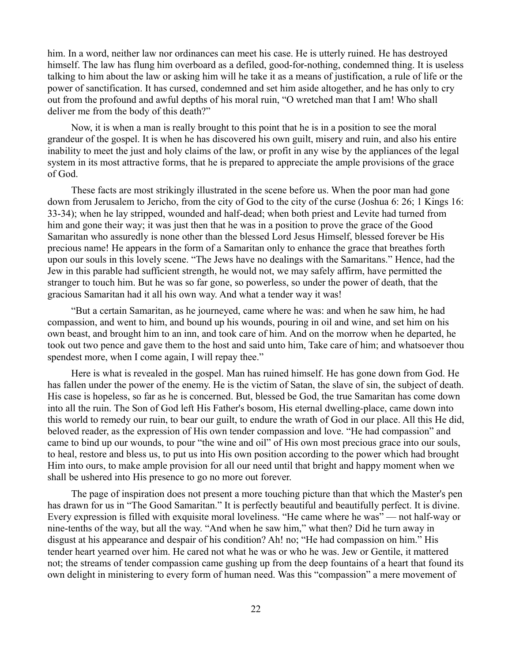him. In a word, neither law nor ordinances can meet his case. He is utterly ruined. He has destroyed himself. The law has flung him overboard as a defiled, good-for-nothing, condemned thing. It is useless talking to him about the law or asking him will he take it as a means of justification, a rule of life or the power of sanctification. It has cursed, condemned and set him aside altogether, and he has only to cry out from the profound and awful depths of his moral ruin, "O wretched man that I am! Who shall deliver me from the body of this death?"

Now, it is when a man is really brought to this point that he is in a position to see the moral grandeur of the gospel. It is when he has discovered his own guilt, misery and ruin, and also his entire inability to meet the just and holy claims of the law, or profit in any wise by the appliances of the legal system in its most attractive forms, that he is prepared to appreciate the ample provisions of the grace of God.

These facts are most strikingly illustrated in the scene before us. When the poor man had gone down from Jerusalem to Jericho, from the city of God to the city of the curse (Joshua 6: 26; 1 Kings 16: 33-34); when he lay stripped, wounded and half-dead; when both priest and Levite had turned from him and gone their way; it was just then that he was in a position to prove the grace of the Good Samaritan who assuredly is none other than the blessed Lord Jesus Himself, blessed forever be His precious name! He appears in the form of a Samaritan only to enhance the grace that breathes forth upon our souls in this lovely scene. "The Jews have no dealings with the Samaritans." Hence, had the Jew in this parable had sufficient strength, he would not, we may safely affirm, have permitted the stranger to touch him. But he was so far gone, so powerless, so under the power of death, that the gracious Samaritan had it all his own way. And what a tender way it was!

"But a certain Samaritan, as he journeyed, came where he was: and when he saw him, he had compassion, and went to him, and bound up his wounds, pouring in oil and wine, and set him on his own beast, and brought him to an inn, and took care of him. And on the morrow when he departed, he took out two pence and gave them to the host and said unto him, Take care of him; and whatsoever thou spendest more, when I come again, I will repay thee."

Here is what is revealed in the gospel. Man has ruined himself. He has gone down from God. He has fallen under the power of the enemy. He is the victim of Satan, the slave of sin, the subject of death. His case is hopeless, so far as he is concerned. But, blessed be God, the true Samaritan has come down into all the ruin. The Son of God left His Father's bosom, His eternal dwelling-place, came down into this world to remedy our ruin, to bear our guilt, to endure the wrath of God in our place. All this He did, beloved reader, as the expression of His own tender compassion and love. "He had compassion" and came to bind up our wounds, to pour "the wine and oil" of His own most precious grace into our souls, to heal, restore and bless us, to put us into His own position according to the power which had brought Him into ours, to make ample provision for all our need until that bright and happy moment when we shall be ushered into His presence to go no more out forever.

The page of inspiration does not present a more touching picture than that which the Master's pen has drawn for us in "The Good Samaritan." It is perfectly beautiful and beautifully perfect. It is divine. Every expression is filled with exquisite moral loveliness. "He came where he was" — not half-way or nine-tenths of the way, but all the way. "And when he saw him," what then? Did he turn away in disgust at his appearance and despair of his condition? Ah! no; "He had compassion on him." His tender heart yearned over him. He cared not what he was or who he was. Jew or Gentile, it mattered not; the streams of tender compassion came gushing up from the deep fountains of a heart that found its own delight in ministering to every form of human need. Was this "compassion" a mere movement of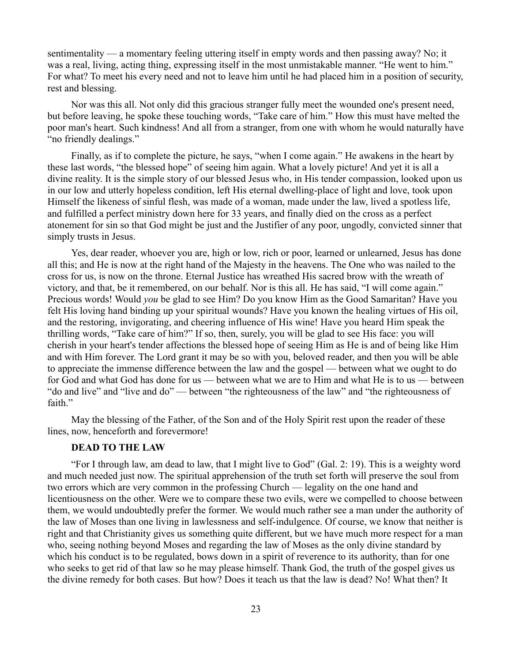sentimentality — a momentary feeling uttering itself in empty words and then passing away? No; it was a real, living, acting thing, expressing itself in the most unmistakable manner. "He went to him." For what? To meet his every need and not to leave him until he had placed him in a position of security, rest and blessing.

Nor was this all. Not only did this gracious stranger fully meet the wounded one's present need, but before leaving, he spoke these touching words, "Take care of him." How this must have melted the poor man's heart. Such kindness! And all from a stranger, from one with whom he would naturally have "no friendly dealings."

Finally, as if to complete the picture, he says, "when I come again." He awakens in the heart by these last words, "the blessed hope" of seeing him again. What a lovely picture! And yet it is all a divine reality. It is the simple story of our blessed Jesus who, in His tender compassion, looked upon us in our low and utterly hopeless condition, left His eternal dwelling-place of light and love, took upon Himself the likeness of sinful flesh, was made of a woman, made under the law, lived a spotless life, and fulfilled a perfect ministry down here for 33 years, and finally died on the cross as a perfect atonement for sin so that God might be just and the Justifier of any poor, ungodly, convicted sinner that simply trusts in Jesus.

Yes, dear reader, whoever you are, high or low, rich or poor, learned or unlearned, Jesus has done all this; and He is now at the right hand of the Majesty in the heavens. The One who was nailed to the cross for us, is now on the throne. Eternal Justice has wreathed His sacred brow with the wreath of victory, and that, be it remembered, on our behalf. Nor is this all. He has said, "I will come again." Precious words! Would *you* be glad to see Him? Do you know Him as the Good Samaritan? Have you felt His loving hand binding up your spiritual wounds? Have you known the healing virtues of His oil, and the restoring, invigorating, and cheering influence of His wine! Have you heard Him speak the thrilling words, "Take care of him?" If so, then, surely, you will be glad to see His face: you will cherish in your heart's tender affections the blessed hope of seeing Him as He is and of being like Him and with Him forever. The Lord grant it may be so with you, beloved reader, and then you will be able to appreciate the immense difference between the law and the gospel — between what we ought to do for God and what God has done for us — between what we are to Him and what He is to us — between "do and live" and "live and do" — between "the righteousness of the law" and "the righteousness of faith."

May the blessing of the Father, of the Son and of the Holy Spirit rest upon the reader of these lines, now, henceforth and forevermore!

# **DEAD TO THE LAW**

"For I through law, am dead to law, that I might live to God" (Gal. 2: 19). This is a weighty word and much needed just now. The spiritual apprehension of the truth set forth will preserve the soul from two errors which are very common in the professing Church — legality on the one hand and licentiousness on the other. Were we to compare these two evils, were we compelled to choose between them, we would undoubtedly prefer the former. We would much rather see a man under the authority of the law of Moses than one living in lawlessness and self-indulgence. Of course, we know that neither is right and that Christianity gives us something quite different, but we have much more respect for a man who, seeing nothing beyond Moses and regarding the law of Moses as the only divine standard by which his conduct is to be regulated, bows down in a spirit of reverence to its authority, than for one who seeks to get rid of that law so he may please himself. Thank God, the truth of the gospel gives us the divine remedy for both cases. But how? Does it teach us that the law is dead? No! What then? It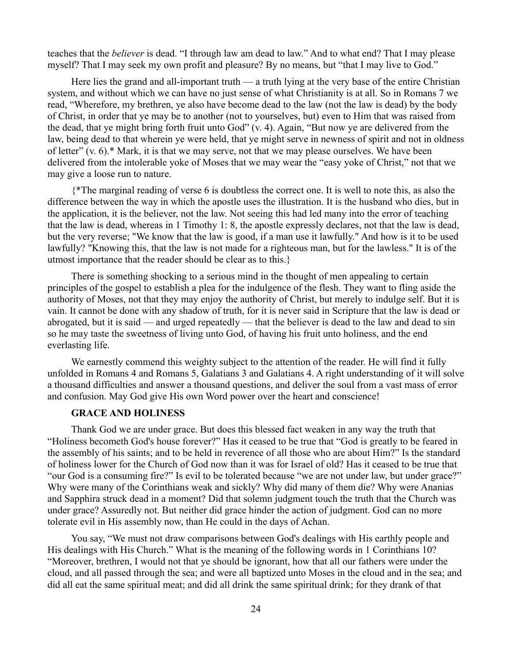teaches that the *believer* is dead. "I through law am dead to law." And to what end? That I may please myself? That I may seek my own profit and pleasure? By no means, but "that I may live to God."

Here lies the grand and all-important truth — a truth lying at the very base of the entire Christian system, and without which we can have no just sense of what Christianity is at all. So in Romans 7 we read, "Wherefore, my brethren, ye also have become dead to the law (not the law is dead) by the body of Christ, in order that ye may be to another (not to yourselves, but) even to Him that was raised from the dead, that ye might bring forth fruit unto God" (v. 4). Again, "But now ye are delivered from the law, being dead to that wherein ye were held, that ye might serve in newness of spirit and not in oldness of letter" (v. 6).\* Mark, it is that we may serve, not that we may please ourselves. We have been delivered from the intolerable yoke of Moses that we may wear the "easy yoke of Christ," not that we may give a loose run to nature.

{\*The marginal reading of verse 6 is doubtless the correct one. It is well to note this, as also the difference between the way in which the apostle uses the illustration. It is the husband who dies, but in the application, it is the believer, not the law. Not seeing this had led many into the error of teaching that the law is dead, whereas in 1 Timothy 1: 8, the apostle expressly declares, not that the law is dead, but the very reverse; "We know that the law is good, if a man use it lawfully." And how is it to be used lawfully? "Knowing this, that the law is not made for a righteous man, but for the lawless." It is of the utmost importance that the reader should be clear as to this.}

There is something shocking to a serious mind in the thought of men appealing to certain principles of the gospel to establish a plea for the indulgence of the flesh. They want to fling aside the authority of Moses, not that they may enjoy the authority of Christ, but merely to indulge self. But it is vain. It cannot be done with any shadow of truth, for it is never said in Scripture that the law is dead or abrogated, but it is said — and urged repeatedly — that the believer is dead to the law and dead to sin so he may taste the sweetness of living unto God, of having his fruit unto holiness, and the end everlasting life.

We earnestly commend this weighty subject to the attention of the reader. He will find it fully unfolded in Romans 4 and Romans 5, Galatians 3 and Galatians 4. A right understanding of it will solve a thousand difficulties and answer a thousand questions, and deliver the soul from a vast mass of error and confusion. May God give His own Word power over the heart and conscience!

### **GRACE AND HOLINESS**

Thank God we are under grace. But does this blessed fact weaken in any way the truth that "Holiness becometh God's house forever?" Has it ceased to be true that "God is greatly to be feared in the assembly of his saints; and to be held in reverence of all those who are about Him?" Is the standard of holiness lower for the Church of God now than it was for Israel of old? Has it ceased to be true that "our God is a consuming fire?" Is evil to be tolerated because "we are not under law, but under grace?" Why were many of the Corinthians weak and sickly? Why did many of them die? Why were Ananias and Sapphira struck dead in a moment? Did that solemn judgment touch the truth that the Church was under grace? Assuredly not. But neither did grace hinder the action of judgment. God can no more tolerate evil in His assembly now, than He could in the days of Achan.

You say, "We must not draw comparisons between God's dealings with His earthly people and His dealings with His Church." What is the meaning of the following words in 1 Corinthians 10? "Moreover, brethren, I would not that ye should be ignorant, how that all our fathers were under the cloud, and all passed through the sea; and were all baptized unto Moses in the cloud and in the sea; and did all eat the same spiritual meat; and did all drink the same spiritual drink; for they drank of that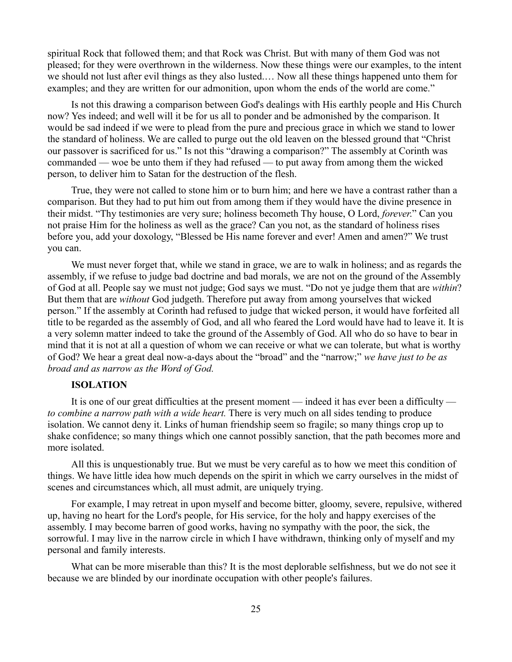spiritual Rock that followed them; and that Rock was Christ. But with many of them God was not pleased; for they were overthrown in the wilderness. Now these things were our examples, to the intent we should not lust after evil things as they also lusted.… Now all these things happened unto them for examples; and they are written for our admonition, upon whom the ends of the world are come."

Is not this drawing a comparison between God's dealings with His earthly people and His Church now? Yes indeed; and well will it be for us all to ponder and be admonished by the comparison. It would be sad indeed if we were to plead from the pure and precious grace in which we stand to lower the standard of holiness. We are called to purge out the old leaven on the blessed ground that "Christ our passover is sacrificed for us." Is not this "drawing a comparison?" The assembly at Corinth was commanded — woe be unto them if they had refused — to put away from among them the wicked person, to deliver him to Satan for the destruction of the flesh.

True, they were not called to stone him or to burn him; and here we have a contrast rather than a comparison. But they had to put him out from among them if they would have the divine presence in their midst. "Thy testimonies are very sure; holiness becometh Thy house, O Lord, *forever*." Can you not praise Him for the holiness as well as the grace? Can you not, as the standard of holiness rises before you, add your doxology, "Blessed be His name forever and ever! Amen and amen?" We trust you can.

We must never forget that, while we stand in grace, we are to walk in holiness; and as regards the assembly, if we refuse to judge bad doctrine and bad morals, we are not on the ground of the Assembly of God at all. People say we must not judge; God says we must. "Do not ye judge them that are *within*? But them that are *without* God judgeth. Therefore put away from among yourselves that wicked person." If the assembly at Corinth had refused to judge that wicked person, it would have forfeited all title to be regarded as the assembly of God, and all who feared the Lord would have had to leave it. It is a very solemn matter indeed to take the ground of the Assembly of God. All who do so have to bear in mind that it is not at all a question of whom we can receive or what we can tolerate, but what is worthy of God? We hear a great deal now-a-days about the "broad" and the "narrow;" *we have just to be as broad and as narrow as the Word of God.*

### **ISOLATION**

It is one of our great difficulties at the present moment — indeed it has ever been a difficulty *to combine a narrow path with a wide heart.* There is very much on all sides tending to produce isolation. We cannot deny it. Links of human friendship seem so fragile; so many things crop up to shake confidence; so many things which one cannot possibly sanction, that the path becomes more and more isolated.

All this is unquestionably true. But we must be very careful as to how we meet this condition of things. We have little idea how much depends on the spirit in which we carry ourselves in the midst of scenes and circumstances which, all must admit, are uniquely trying.

For example, I may retreat in upon myself and become bitter, gloomy, severe, repulsive, withered up, having no heart for the Lord's people, for His service, for the holy and happy exercises of the assembly. I may become barren of good works, having no sympathy with the poor, the sick, the sorrowful. I may live in the narrow circle in which I have withdrawn, thinking only of myself and my personal and family interests.

What can be more miserable than this? It is the most deplorable selfishness, but we do not see it because we are blinded by our inordinate occupation with other people's failures.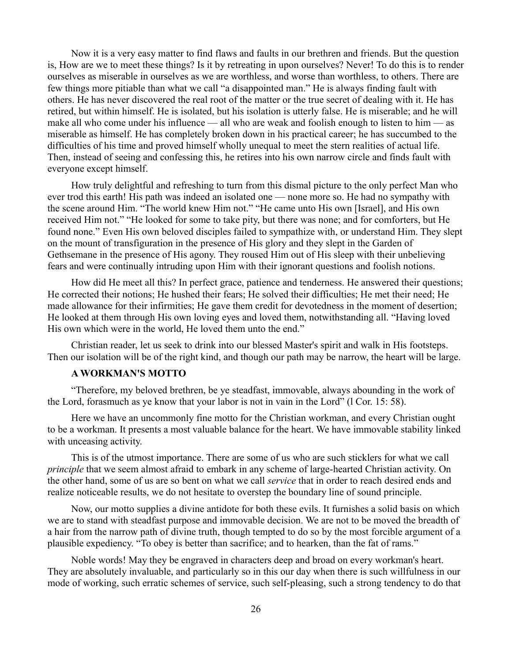Now it is a very easy matter to find flaws and faults in our brethren and friends. But the question is, How are we to meet these things? Is it by retreating in upon ourselves? Never! To do this is to render ourselves as miserable in ourselves as we are worthless, and worse than worthless, to others. There are few things more pitiable than what we call "a disappointed man." He is always finding fault with others. He has never discovered the real root of the matter or the true secret of dealing with it. He has retired, but within himself. He is isolated, but his isolation is utterly false. He is miserable; and he will make all who come under his influence — all who are weak and foolish enough to listen to him — as miserable as himself. He has completely broken down in his practical career; he has succumbed to the difficulties of his time and proved himself wholly unequal to meet the stern realities of actual life. Then, instead of seeing and confessing this, he retires into his own narrow circle and finds fault with everyone except himself.

How truly delightful and refreshing to turn from this dismal picture to the only perfect Man who ever trod this earth! His path was indeed an isolated one — none more so. He had no sympathy with the scene around Him. "The world knew Him not." "He came unto His own [Israel], and His own received Him not." "He looked for some to take pity, but there was none; and for comforters, but He found none." Even His own beloved disciples failed to sympathize with, or understand Him. They slept on the mount of transfiguration in the presence of His glory and they slept in the Garden of Gethsemane in the presence of His agony. They roused Him out of His sleep with their unbelieving fears and were continually intruding upon Him with their ignorant questions and foolish notions.

How did He meet all this? In perfect grace, patience and tenderness. He answered their questions; He corrected their notions; He hushed their fears; He solved their difficulties; He met their need; He made allowance for their infirmities; He gave them credit for devotedness in the moment of desertion; He looked at them through His own loving eyes and loved them, notwithstanding all. "Having loved His own which were in the world, He loved them unto the end."

Christian reader, let us seek to drink into our blessed Master's spirit and walk in His footsteps. Then our isolation will be of the right kind, and though our path may be narrow, the heart will be large.

#### **A WORKMAN'S MOTTO**

"Therefore, my beloved brethren, be ye steadfast, immovable, always abounding in the work of the Lord, forasmuch as ye know that your labor is not in vain in the Lord" (l Cor. 15: 58).

Here we have an uncommonly fine motto for the Christian workman, and every Christian ought to be a workman. It presents a most valuable balance for the heart. We have immovable stability linked with unceasing activity.

This is of the utmost importance. There are some of us who are such sticklers for what we call *principle* that we seem almost afraid to embark in any scheme of large-hearted Christian activity. On the other hand, some of us are so bent on what we call *service* that in order to reach desired ends and realize noticeable results, we do not hesitate to overstep the boundary line of sound principle.

Now, our motto supplies a divine antidote for both these evils. It furnishes a solid basis on which we are to stand with steadfast purpose and immovable decision. We are not to be moved the breadth of a hair from the narrow path of divine truth, though tempted to do so by the most forcible argument of a plausible expediency. "To obey is better than sacrifice; and to hearken, than the fat of rams."

Noble words! May they be engraved in characters deep and broad on every workman's heart. They are absolutely invaluable, and particularly so in this our day when there is such willfulness in our mode of working, such erratic schemes of service, such self-pleasing, such a strong tendency to do that